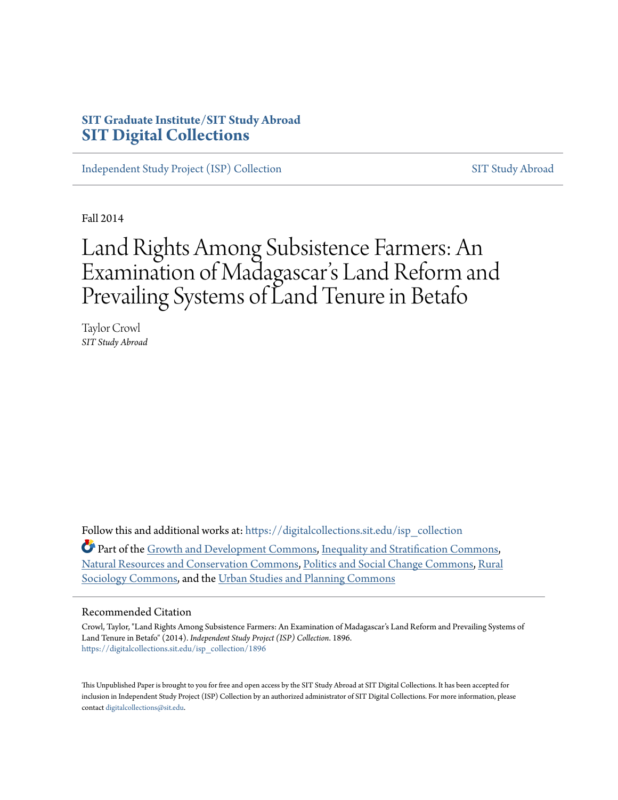# **SIT Graduate Institute/SIT Study Abroad [SIT Digital Collections](https://digitalcollections.sit.edu?utm_source=digitalcollections.sit.edu%2Fisp_collection%2F1896&utm_medium=PDF&utm_campaign=PDFCoverPages)**

[Independent Study Project \(ISP\) Collection](https://digitalcollections.sit.edu/isp_collection?utm_source=digitalcollections.sit.edu%2Fisp_collection%2F1896&utm_medium=PDF&utm_campaign=PDFCoverPages) [SIT Study Abroad](https://digitalcollections.sit.edu/study_abroad?utm_source=digitalcollections.sit.edu%2Fisp_collection%2F1896&utm_medium=PDF&utm_campaign=PDFCoverPages)

Fall 2014

# Land Rights Among Subsistence Farmers: An Examination of Madagascar 's Land Reform and Prevailing Systems of Land Tenure in Betafo

Taylor Crowl *SIT Study Abroad*

Follow this and additional works at: [https://digitalcollections.sit.edu/isp\\_collection](https://digitalcollections.sit.edu/isp_collection?utm_source=digitalcollections.sit.edu%2Fisp_collection%2F1896&utm_medium=PDF&utm_campaign=PDFCoverPages)

Part of the [Growth and Development Commons,](http://network.bepress.com/hgg/discipline/346?utm_source=digitalcollections.sit.edu%2Fisp_collection%2F1896&utm_medium=PDF&utm_campaign=PDFCoverPages) [Inequality and Stratification Commons,](http://network.bepress.com/hgg/discipline/421?utm_source=digitalcollections.sit.edu%2Fisp_collection%2F1896&utm_medium=PDF&utm_campaign=PDFCoverPages) [Natural Resources and Conservation Commons,](http://network.bepress.com/hgg/discipline/168?utm_source=digitalcollections.sit.edu%2Fisp_collection%2F1896&utm_medium=PDF&utm_campaign=PDFCoverPages) [Politics and Social Change Commons](http://network.bepress.com/hgg/discipline/425?utm_source=digitalcollections.sit.edu%2Fisp_collection%2F1896&utm_medium=PDF&utm_campaign=PDFCoverPages), [Rural](http://network.bepress.com/hgg/discipline/428?utm_source=digitalcollections.sit.edu%2Fisp_collection%2F1896&utm_medium=PDF&utm_campaign=PDFCoverPages) [Sociology Commons,](http://network.bepress.com/hgg/discipline/428?utm_source=digitalcollections.sit.edu%2Fisp_collection%2F1896&utm_medium=PDF&utm_campaign=PDFCoverPages) and the [Urban Studies and Planning Commons](http://network.bepress.com/hgg/discipline/436?utm_source=digitalcollections.sit.edu%2Fisp_collection%2F1896&utm_medium=PDF&utm_campaign=PDFCoverPages)

#### Recommended Citation

Crowl, Taylor, "Land Rights Among Subsistence Farmers: An Examination of Madagascar's Land Reform and Prevailing Systems of Land Tenure in Betafo" (2014). *Independent Study Project (ISP) Collection*. 1896. [https://digitalcollections.sit.edu/isp\\_collection/1896](https://digitalcollections.sit.edu/isp_collection/1896?utm_source=digitalcollections.sit.edu%2Fisp_collection%2F1896&utm_medium=PDF&utm_campaign=PDFCoverPages)

This Unpublished Paper is brought to you for free and open access by the SIT Study Abroad at SIT Digital Collections. It has been accepted for inclusion in Independent Study Project (ISP) Collection by an authorized administrator of SIT Digital Collections. For more information, please contact [digitalcollections@sit.edu](mailto:digitalcollections@sit.edu).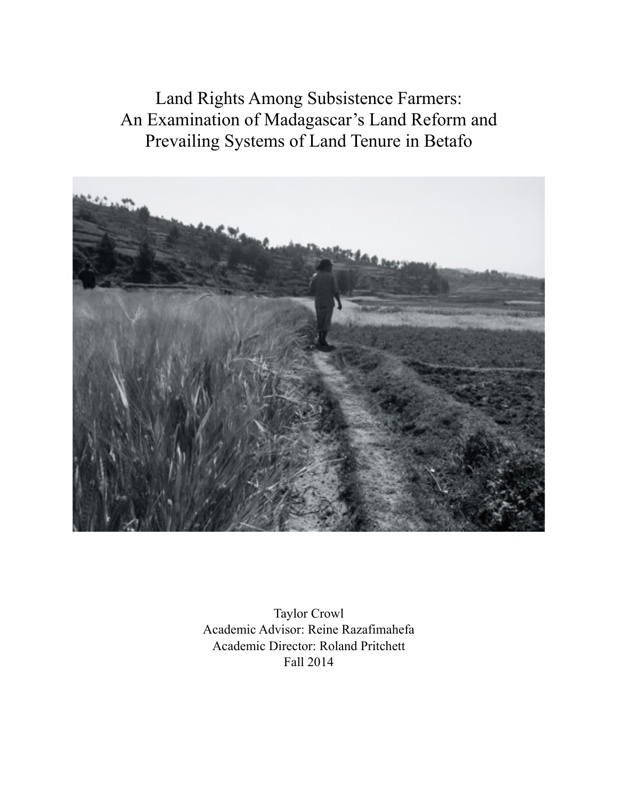Land Rights Among Subsistence Farmers: An Examination of Madagascar's Land Reform and Prevailing Systems of Land Tenure in Betafo



Taylor Crowl Academic Advisor: Reine Razafimahefa Academic Director: Roland Pritchett Fall 2014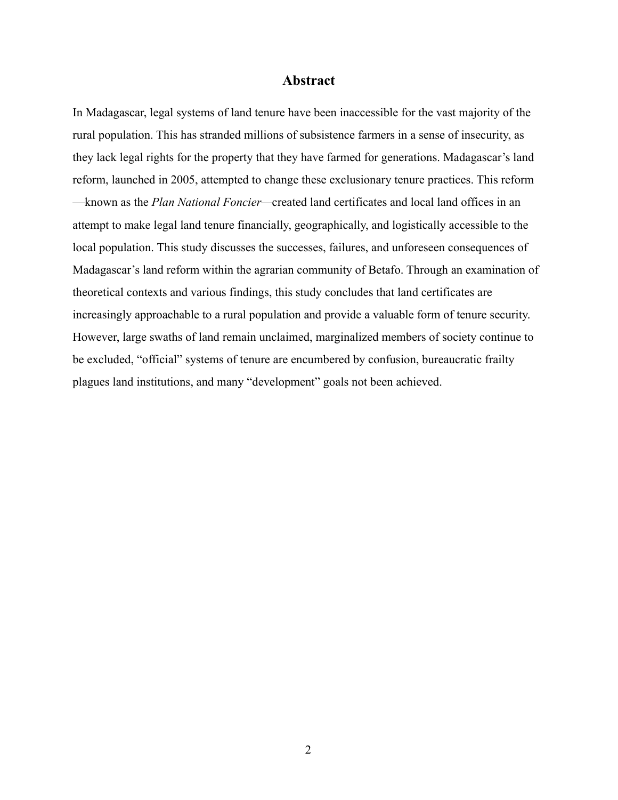#### **Abstract**

In Madagascar, legal systems of land tenure have been inaccessible for the vast majority of the rural population. This has stranded millions of subsistence farmers in a sense of insecurity, as they lack legal rights for the property that they have farmed for generations. Madagascar's land reform, launched in 2005, attempted to change these exclusionary tenure practices. This reform —known as the *Plan National Foncier—*created land certificates and local land offices in an attempt to make legal land tenure financially, geographically, and logistically accessible to the local population. This study discusses the successes, failures, and unforeseen consequences of Madagascar's land reform within the agrarian community of Betafo. Through an examination of theoretical contexts and various findings, this study concludes that land certificates are increasingly approachable to a rural population and provide a valuable form of tenure security. However, large swaths of land remain unclaimed, marginalized members of society continue to be excluded, "official" systems of tenure are encumbered by confusion, bureaucratic frailty plagues land institutions, and many "development" goals not been achieved.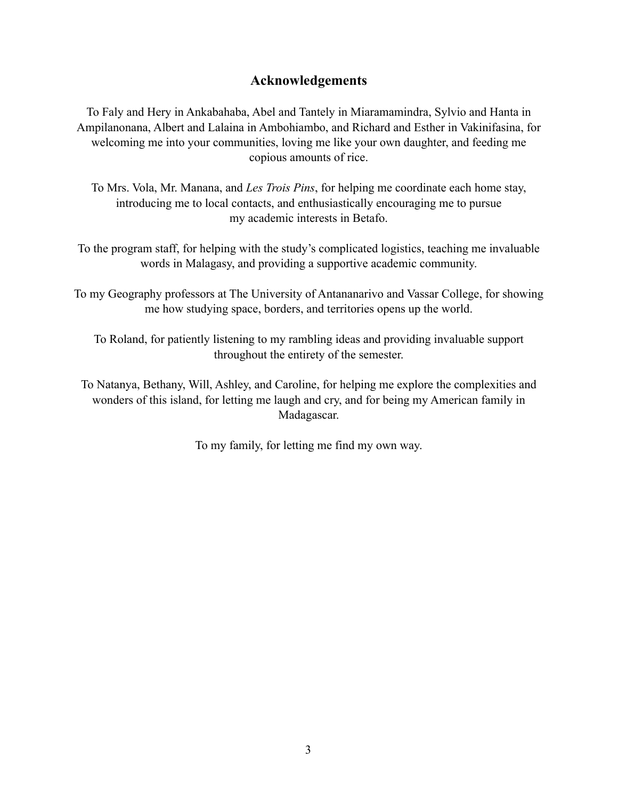# **Acknowledgements**

To Faly and Hery in Ankabahaba, Abel and Tantely in Miaramamindra, Sylvio and Hanta in Ampilanonana, Albert and Lalaina in Ambohiambo, and Richard and Esther in Vakinifasina, for welcoming me into your communities, loving me like your own daughter, and feeding me copious amounts of rice.

To Mrs. Vola, Mr. Manana, and *Les Trois Pins*, for helping me coordinate each home stay, introducing me to local contacts, and enthusiastically encouraging me to pursue my academic interests in Betafo.

To the program staff, for helping with the study's complicated logistics, teaching me invaluable words in Malagasy, and providing a supportive academic community.

To my Geography professors at The University of Antananarivo and Vassar College, for showing me how studying space, borders, and territories opens up the world.

To Roland, for patiently listening to my rambling ideas and providing invaluable support throughout the entirety of the semester.

To Natanya, Bethany, Will, Ashley, and Caroline, for helping me explore the complexities and wonders of this island, for letting me laugh and cry, and for being my American family in Madagascar.

To my family, for letting me find my own way.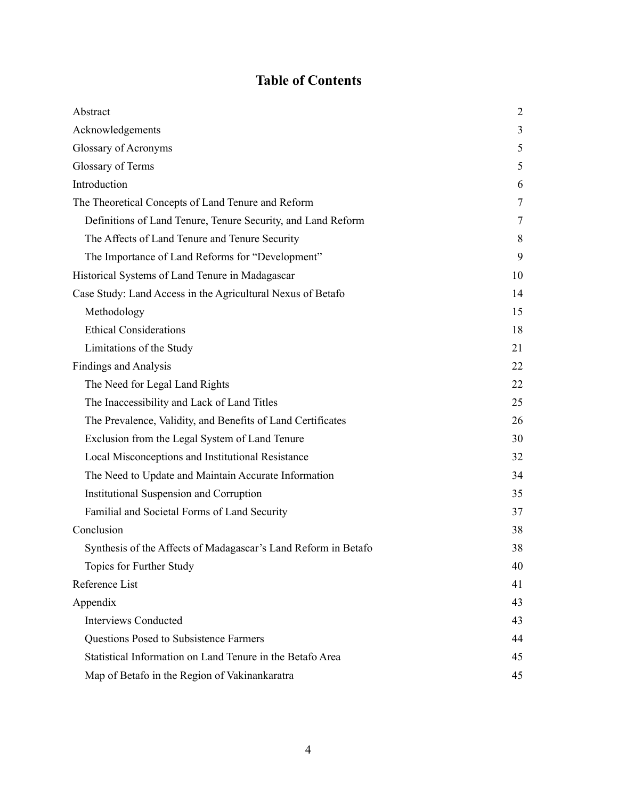# **Table of Contents**

| Abstract                                                       | 2  |
|----------------------------------------------------------------|----|
| Acknowledgements                                               | 3  |
| Glossary of Acronyms                                           | 5  |
| Glossary of Terms                                              | 5  |
| Introduction                                                   | 6  |
| The Theoretical Concepts of Land Tenure and Reform             | 7  |
| Definitions of Land Tenure, Tenure Security, and Land Reform   | 7  |
| The Affects of Land Tenure and Tenure Security                 | 8  |
| The Importance of Land Reforms for "Development"               | 9  |
| Historical Systems of Land Tenure in Madagascar                | 10 |
| Case Study: Land Access in the Agricultural Nexus of Betafo    | 14 |
| Methodology                                                    | 15 |
| <b>Ethical Considerations</b>                                  | 18 |
| Limitations of the Study                                       | 21 |
| <b>Findings and Analysis</b>                                   | 22 |
| The Need for Legal Land Rights                                 | 22 |
| The Inaccessibility and Lack of Land Titles                    | 25 |
| The Prevalence, Validity, and Benefits of Land Certificates    | 26 |
| Exclusion from the Legal System of Land Tenure                 | 30 |
| Local Misconceptions and Institutional Resistance              | 32 |
| The Need to Update and Maintain Accurate Information           | 34 |
| Institutional Suspension and Corruption                        | 35 |
| Familial and Societal Forms of Land Security                   | 37 |
| Conclusion                                                     | 38 |
| Synthesis of the Affects of Madagascar's Land Reform in Betafo | 38 |
| Topics for Further Study                                       | 40 |
| Reference List                                                 | 41 |
| Appendix                                                       | 43 |
| <b>Interviews Conducted</b>                                    | 43 |
| Questions Posed to Subsistence Farmers                         | 44 |
| Statistical Information on Land Tenure in the Betafo Area      | 45 |
| Map of Betafo in the Region of Vakinankaratra                  | 45 |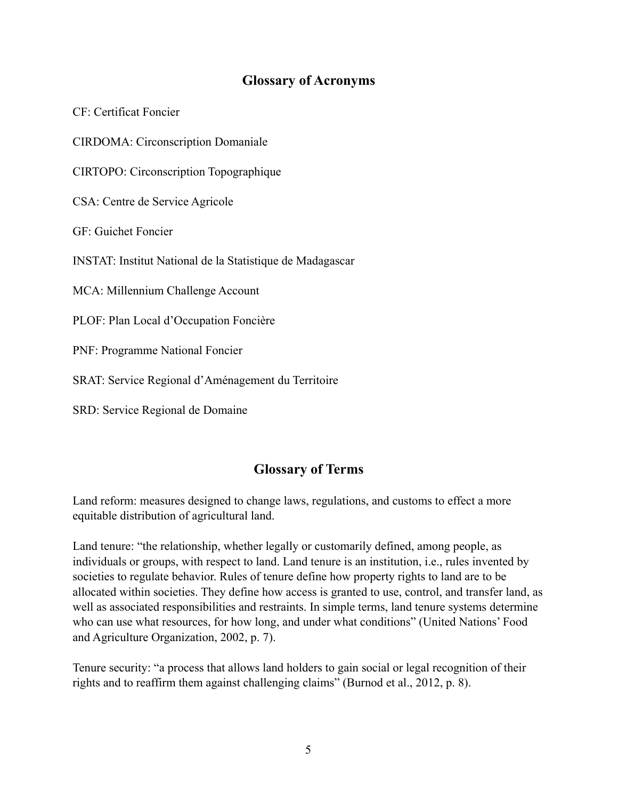# **Glossary of Acronyms**

CF: Certificat Foncier

CIRDOMA: Circonscription Domaniale

CIRTOPO: Circonscription Topographique

CSA: Centre de Service Agricole

GF: Guichet Foncier

INSTAT: Institut National de la Statistique de Madagascar

MCA: Millennium Challenge Account

PLOF: Plan Local d'Occupation Foncière

PNF: Programme National Foncier

SRAT: Service Regional d'Aménagement du Territoire

SRD: Service Regional de Domaine

# **Glossary of Terms**

Land reform: measures designed to change laws, regulations, and customs to effect a more equitable distribution of agricultural land.

Land tenure: "the relationship, whether legally or customarily defined, among people, as individuals or groups, with respect to land. Land tenure is an institution, i.e., rules invented by societies to regulate behavior. Rules of tenure define how property rights to land are to be allocated within societies. They define how access is granted to use, control, and transfer land, as well as associated responsibilities and restraints. In simple terms, land tenure systems determine who can use what resources, for how long, and under what conditions" (United Nations' Food and Agriculture Organization, 2002, p. 7).

Tenure security: "a process that allows land holders to gain social or legal recognition of their rights and to reaffirm them against challenging claims" (Burnod et al., 2012, p. 8).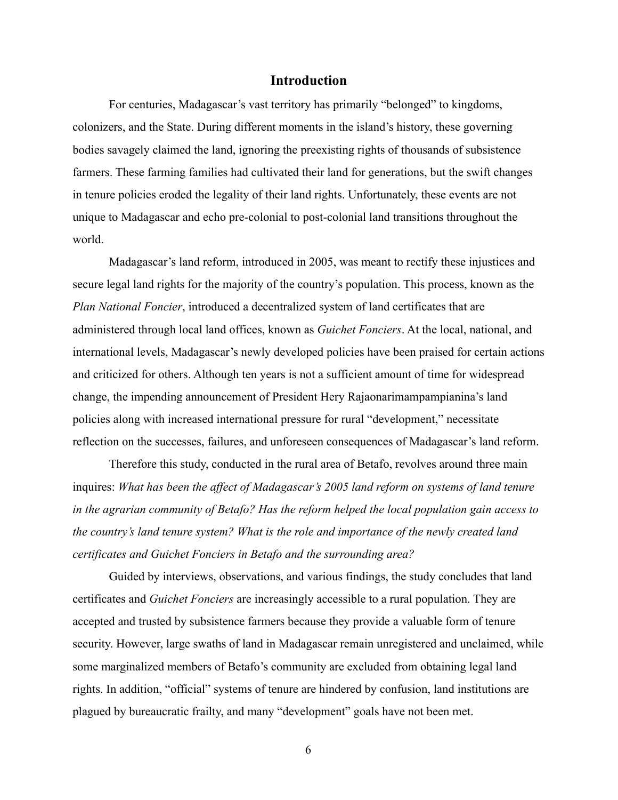#### **Introduction**

 For centuries, Madagascar's vast territory has primarily "belonged" to kingdoms, colonizers, and the State. During different moments in the island's history, these governing bodies savagely claimed the land, ignoring the preexisting rights of thousands of subsistence farmers. These farming families had cultivated their land for generations, but the swift changes in tenure policies eroded the legality of their land rights. Unfortunately, these events are not unique to Madagascar and echo pre-colonial to post-colonial land transitions throughout the world.

 Madagascar's land reform, introduced in 2005, was meant to rectify these injustices and secure legal land rights for the majority of the country's population. This process, known as the *Plan National Foncier*, introduced a decentralized system of land certificates that are administered through local land offices, known as *Guichet Fonciers*. At the local, national, and international levels, Madagascar's newly developed policies have been praised for certain actions and criticized for others. Although ten years is not a sufficient amount of time for widespread change, the impending announcement of President Hery Rajaonarimampampianina's land policies along with increased international pressure for rural "development," necessitate reflection on the successes, failures, and unforeseen consequences of Madagascar's land reform.

 Therefore this study, conducted in the rural area of Betafo, revolves around three main inquires: *What has been the affect of Madagascar's 2005 land reform on systems of land tenure in the agrarian community of Betafo? Has the reform helped the local population gain access to the country's land tenure system? What is the role and importance of the newly created land certificates and Guichet Fonciers in Betafo and the surrounding area?*

Guided by interviews, observations, and various findings, the study concludes that land certificates and *Guichet Fonciers* are increasingly accessible to a rural population. They are accepted and trusted by subsistence farmers because they provide a valuable form of tenure security. However, large swaths of land in Madagascar remain unregistered and unclaimed, while some marginalized members of Betafo's community are excluded from obtaining legal land rights. In addition, "official" systems of tenure are hindered by confusion, land institutions are plagued by bureaucratic frailty, and many "development" goals have not been met.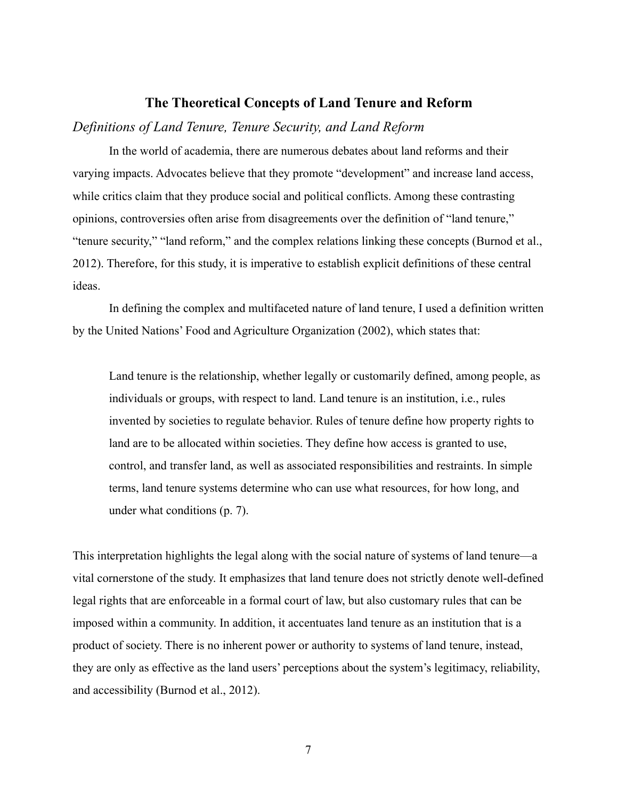#### **The Theoretical Concepts of Land Tenure and Reform**

#### *Definitions of Land Tenure, Tenure Security, and Land Reform*

 In the world of academia, there are numerous debates about land reforms and their varying impacts. Advocates believe that they promote "development" and increase land access, while critics claim that they produce social and political conflicts. Among these contrasting opinions, controversies often arise from disagreements over the definition of "land tenure," "tenure security," "land reform," and the complex relations linking these concepts (Burnod et al., 2012). Therefore, for this study, it is imperative to establish explicit definitions of these central ideas.

 In defining the complex and multifaceted nature of land tenure, I used a definition written by the United Nations' Food and Agriculture Organization (2002), which states that:

Land tenure is the relationship, whether legally or customarily defined, among people, as individuals or groups, with respect to land. Land tenure is an institution, i.e., rules invented by societies to regulate behavior. Rules of tenure define how property rights to land are to be allocated within societies. They define how access is granted to use, control, and transfer land, as well as associated responsibilities and restraints. In simple terms, land tenure systems determine who can use what resources, for how long, and under what conditions (p. 7).

This interpretation highlights the legal along with the social nature of systems of land tenure—a vital cornerstone of the study. It emphasizes that land tenure does not strictly denote well-defined legal rights that are enforceable in a formal court of law, but also customary rules that can be imposed within a community. In addition, it accentuates land tenure as an institution that is a product of society. There is no inherent power or authority to systems of land tenure, instead, they are only as effective as the land users' perceptions about the system's legitimacy, reliability, and accessibility (Burnod et al., 2012).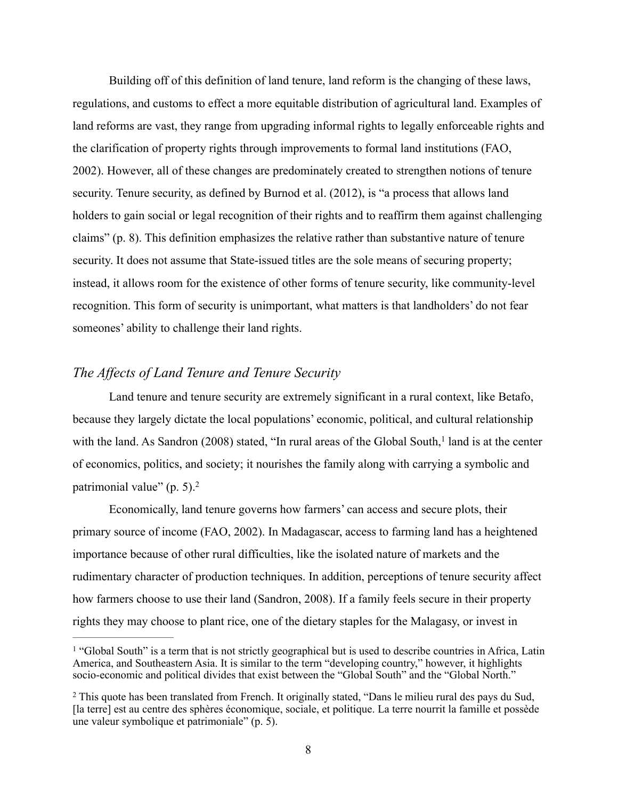Building off of this definition of land tenure, land reform is the changing of these laws, regulations, and customs to effect a more equitable distribution of agricultural land. Examples of land reforms are vast, they range from upgrading informal rights to legally enforceable rights and the clarification of property rights through improvements to formal land institutions (FAO, 2002). However, all of these changes are predominately created to strengthen notions of tenure security. Tenure security, as defined by Burnod et al. (2012), is "a process that allows land holders to gain social or legal recognition of their rights and to reaffirm them against challenging claims" (p. 8). This definition emphasizes the relative rather than substantive nature of tenure security. It does not assume that State-issued titles are the sole means of securing property; instead, it allows room for the existence of other forms of tenure security, like community-level recognition. This form of security is unimportant, what matters is that landholders' do not fear someones' ability to challenge their land rights.

## *The Affects of Land Tenure and Tenure Security*

 Land tenure and tenure security are extremely significant in a rural context, like Betafo, because they largely dictate the local populations' economic, political, and cultural relationship with the land. As Sandron (2008) stated, "In rural areas of the Global South, $<sup>1</sup>$  land is at the center</sup> of economics, politics, and society; it nourishes the family along with carrying a symbolic and patrimonial value" (p. 5).2

 Economically, land tenure governs how farmers' can access and secure plots, their primary source of income (FAO, 2002). In Madagascar, access to farming land has a heightened importance because of other rural difficulties, like the isolated nature of markets and the rudimentary character of production techniques. In addition, perceptions of tenure security affect how farmers choose to use their land (Sandron, 2008). If a family feels secure in their property rights they may choose to plant rice, one of the dietary staples for the Malagasy, or invest in

<sup>&</sup>lt;sup>1</sup> "Global South" is a term that is not strictly geographical but is used to describe countries in Africa, Latin America, and Southeastern Asia. It is similar to the term "developing country," however, it highlights socio-economic and political divides that exist between the "Global South" and the "Global North."

<sup>&</sup>lt;sup>2</sup> This quote has been translated from French. It originally stated, "Dans le milieu rural des pays du Sud, [la terre] est au centre des sphères économique, sociale, et politique. La terre nourrit la famille et possède une valeur symbolique et patrimoniale" (p. 5).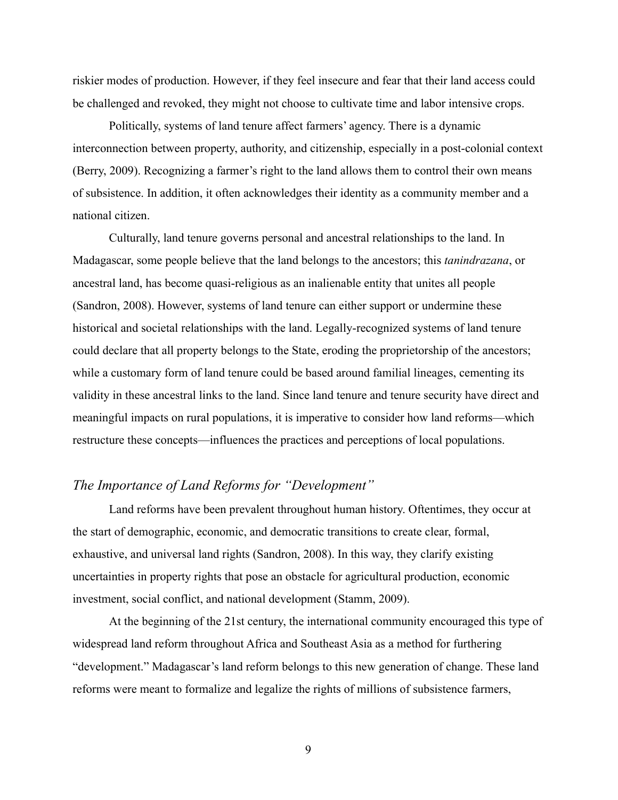riskier modes of production. However, if they feel insecure and fear that their land access could be challenged and revoked, they might not choose to cultivate time and labor intensive crops.

 Politically, systems of land tenure affect farmers' agency. There is a dynamic interconnection between property, authority, and citizenship, especially in a post-colonial context (Berry, 2009). Recognizing a farmer's right to the land allows them to control their own means of subsistence. In addition, it often acknowledges their identity as a community member and a national citizen.

 Culturally, land tenure governs personal and ancestral relationships to the land. In Madagascar, some people believe that the land belongs to the ancestors; this *tanindrazana*, or ancestral land, has become quasi-religious as an inalienable entity that unites all people (Sandron, 2008). However, systems of land tenure can either support or undermine these historical and societal relationships with the land. Legally-recognized systems of land tenure could declare that all property belongs to the State, eroding the proprietorship of the ancestors; while a customary form of land tenure could be based around familial lineages, cementing its validity in these ancestral links to the land. Since land tenure and tenure security have direct and meaningful impacts on rural populations, it is imperative to consider how land reforms—which restructure these concepts—influences the practices and perceptions of local populations.

# *The Importance of Land Reforms for "Development"*

 Land reforms have been prevalent throughout human history. Oftentimes, they occur at the start of demographic, economic, and democratic transitions to create clear, formal, exhaustive, and universal land rights (Sandron, 2008). In this way, they clarify existing uncertainties in property rights that pose an obstacle for agricultural production, economic investment, social conflict, and national development (Stamm, 2009).

 At the beginning of the 21st century, the international community encouraged this type of widespread land reform throughout Africa and Southeast Asia as a method for furthering "development." Madagascar's land reform belongs to this new generation of change. These land reforms were meant to formalize and legalize the rights of millions of subsistence farmers,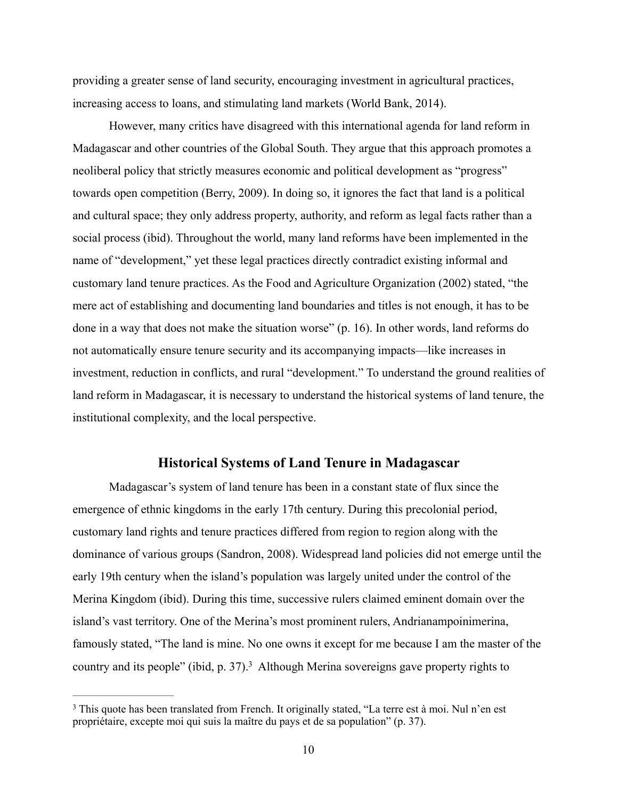providing a greater sense of land security, encouraging investment in agricultural practices, increasing access to loans, and stimulating land markets (World Bank, 2014).

 However, many critics have disagreed with this international agenda for land reform in Madagascar and other countries of the Global South. They argue that this approach promotes a neoliberal policy that strictly measures economic and political development as "progress" towards open competition (Berry, 2009). In doing so, it ignores the fact that land is a political and cultural space; they only address property, authority, and reform as legal facts rather than a social process (ibid). Throughout the world, many land reforms have been implemented in the name of "development," yet these legal practices directly contradict existing informal and customary land tenure practices. As the Food and Agriculture Organization (2002) stated, "the mere act of establishing and documenting land boundaries and titles is not enough, it has to be done in a way that does not make the situation worse" (p. 16). In other words, land reforms do not automatically ensure tenure security and its accompanying impacts—like increases in investment, reduction in conflicts, and rural "development." To understand the ground realities of land reform in Madagascar, it is necessary to understand the historical systems of land tenure, the institutional complexity, and the local perspective.

## **Historical Systems of Land Tenure in Madagascar**

 Madagascar's system of land tenure has been in a constant state of flux since the emergence of ethnic kingdoms in the early 17th century. During this precolonial period, customary land rights and tenure practices differed from region to region along with the dominance of various groups (Sandron, 2008). Widespread land policies did not emerge until the early 19th century when the island's population was largely united under the control of the Merina Kingdom (ibid). During this time, successive rulers claimed eminent domain over the island's vast territory. One of the Merina's most prominent rulers, Andrianampoinimerina, famously stated, "The land is mine. No one owns it except for me because I am the master of the country and its people" (ibid, p. 37).<sup>3</sup> Although Merina sovereigns gave property rights to

<sup>&</sup>lt;sup>3</sup> This quote has been translated from French. It originally stated, "La terre est à moi. Nul n'en est propriétaire, excepte moi qui suis la maître du pays et de sa population" (p. 37).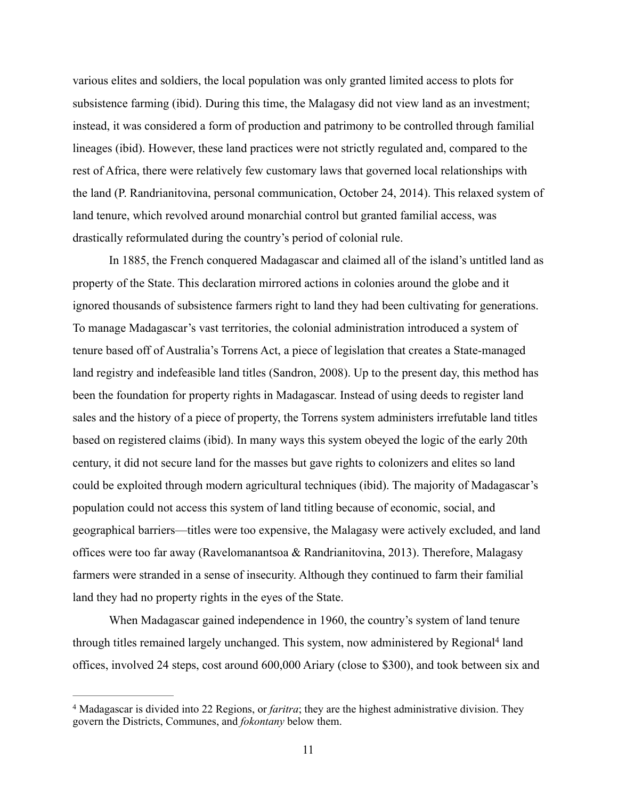various elites and soldiers, the local population was only granted limited access to plots for subsistence farming (ibid). During this time, the Malagasy did not view land as an investment; instead, it was considered a form of production and patrimony to be controlled through familial lineages (ibid). However, these land practices were not strictly regulated and, compared to the rest of Africa, there were relatively few customary laws that governed local relationships with the land (P. Randrianitovina, personal communication, October 24, 2014). This relaxed system of land tenure, which revolved around monarchial control but granted familial access, was drastically reformulated during the country's period of colonial rule.

 In 1885, the French conquered Madagascar and claimed all of the island's untitled land as property of the State. This declaration mirrored actions in colonies around the globe and it ignored thousands of subsistence farmers right to land they had been cultivating for generations. To manage Madagascar's vast territories, the colonial administration introduced a system of tenure based off of Australia's Torrens Act, a piece of legislation that creates a State-managed land registry and indefeasible land titles (Sandron, 2008). Up to the present day, this method has been the foundation for property rights in Madagascar. Instead of using deeds to register land sales and the history of a piece of property, the Torrens system administers irrefutable land titles based on registered claims (ibid). In many ways this system obeyed the logic of the early 20th century, it did not secure land for the masses but gave rights to colonizers and elites so land could be exploited through modern agricultural techniques (ibid). The majority of Madagascar's population could not access this system of land titling because of economic, social, and geographical barriers—titles were too expensive, the Malagasy were actively excluded, and land offices were too far away (Ravelomanantsoa & Randrianitovina, 2013). Therefore, Malagasy farmers were stranded in a sense of insecurity. Although they continued to farm their familial land they had no property rights in the eyes of the State.

 When Madagascar gained independence in 1960, the country's system of land tenure through titles remained largely unchanged. This system, now administered by Regional<sup>4</sup> land offices, involved 24 steps, cost around 600,000 Ariary (close to \$300), and took between six and

<sup>&</sup>lt;sup>4</sup> Madagascar is divided into 22 Regions, or *faritra*; they are the highest administrative division. They govern the Districts, Communes, and *fokontany* below them.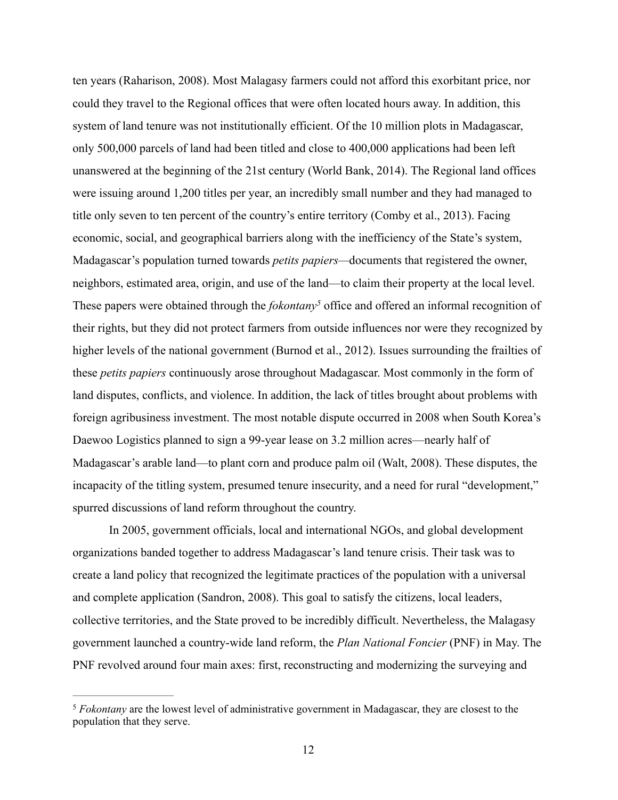ten years (Raharison, 2008). Most Malagasy farmers could not afford this exorbitant price, nor could they travel to the Regional offices that were often located hours away. In addition, this system of land tenure was not institutionally efficient. Of the 10 million plots in Madagascar, only 500,000 parcels of land had been titled and close to 400,000 applications had been left unanswered at the beginning of the 21st century (World Bank, 2014). The Regional land offices were issuing around 1,200 titles per year, an incredibly small number and they had managed to title only seven to ten percent of the country's entire territory (Comby et al., 2013). Facing economic, social, and geographical barriers along with the inefficiency of the State's system, Madagascar's population turned towards *petits papiers—*documents that registered the owner, neighbors, estimated area, origin, and use of the land—to claim their property at the local level. These papers were obtained through the *fokontany*<sup>5</sup> office and offered an informal recognition of their rights, but they did not protect farmers from outside influences nor were they recognized by higher levels of the national government (Burnod et al., 2012). Issues surrounding the frailties of these *petits papiers* continuously arose throughout Madagascar. Most commonly in the form of land disputes, conflicts, and violence. In addition, the lack of titles brought about problems with foreign agribusiness investment. The most notable dispute occurred in 2008 when South Korea's Daewoo Logistics planned to sign a 99-year lease on 3.2 million acres—nearly half of Madagascar's arable land—to plant corn and produce palm oil (Walt, 2008). These disputes, the incapacity of the titling system, presumed tenure insecurity, and a need for rural "development," spurred discussions of land reform throughout the country.

 In 2005, government officials, local and international NGOs, and global development organizations banded together to address Madagascar's land tenure crisis. Their task was to create a land policy that recognized the legitimate practices of the population with a universal and complete application (Sandron, 2008). This goal to satisfy the citizens, local leaders, collective territories, and the State proved to be incredibly difficult. Nevertheless, the Malagasy government launched a country-wide land reform, the *Plan National Foncier* (PNF) in May. The PNF revolved around four main axes: first, reconstructing and modernizing the surveying and

<sup>&</sup>lt;sup>5</sup> Fokontany are the lowest level of administrative government in Madagascar, they are closest to the population that they serve.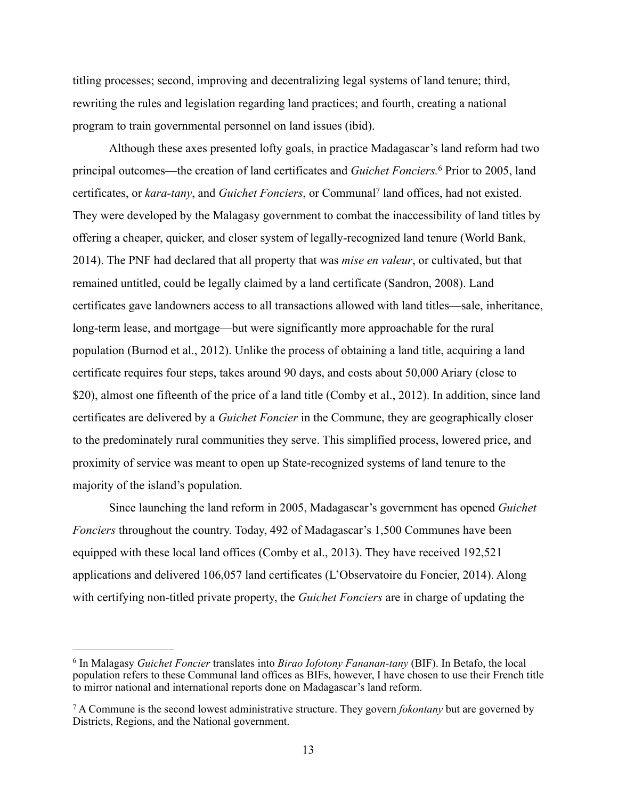titling processes; second, improving and decentralizing legal systems of land tenure; third, rewriting the rules and legislation regarding land practices; and fourth, creating a national program to train governmental personnel on land issues (ibid).

 Although these axes presented lofty goals, in practice Madagascar's land reform had two principal outcomes—the creation of land certificates and *Guichet Fonciers*.<sup>6</sup> Prior to 2005, land certificates, or *kara-tany*, and *Guichet Fonciers*, or Communal<sup>7</sup> land offices, had not existed. They were developed by the Malagasy government to combat the inaccessibility of land titles by offering a cheaper, quicker, and closer system of legally-recognized land tenure (World Bank, 2014). The PNF had declared that all property that was *mise en valeur*, or cultivated, but that remained untitled, could be legally claimed by a land certificate (Sandron, 2008). Land certificates gave landowners access to all transactions allowed with land titles—sale, inheritance, long-term lease, and mortgage—but were significantly more approachable for the rural population (Burnod et al., 2012). Unlike the process of obtaining a land title, acquiring a land certificate requires four steps, takes around 90 days, and costs about 50,000 Ariary (close to \$20), almost one fifteenth of the price of a land title (Comby et al., 2012). In addition, since land certificates are delivered by a *Guichet Foncier* in the Commune, they are geographically closer to the predominately rural communities they serve. This simplified process, lowered price, and proximity of service was meant to open up State-recognized systems of land tenure to the majority of the island's population.

 Since launching the land reform in 2005, Madagascar's government has opened *Guichet Fonciers* throughout the country. Today, 492 of Madagascar's 1,500 Communes have been equipped with these local land offices (Comby et al., 2013). They have received 192,521 applications and delivered 106,057 land certificates (L'Observatoire du Foncier, 2014). Along with certifying non-titled private property, the *Guichet Fonciers* are in charge of updating the

In Malagasy *Guichet Foncier* translates into *Birao Iofotony Fananan-tany* (BIF). In Betafo, the local 6 population refers to these Communal land offices as BIFs, however, I have chosen to use their French title to mirror national and international reports done on Madagascar's land reform.

A Commune is the second lowest administrative structure. They govern *fokontany* but are governed by 7 Districts, Regions, and the National government.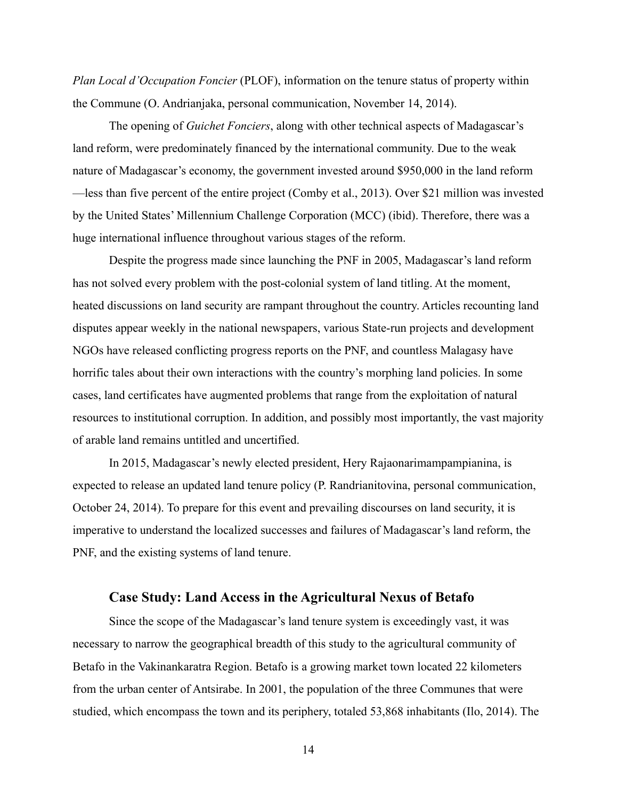*Plan Local d'Occupation Foncier* (PLOF), information on the tenure status of property within the Commune (O. Andrianjaka, personal communication, November 14, 2014).

 The opening of *Guichet Fonciers*, along with other technical aspects of Madagascar's land reform, were predominately financed by the international community. Due to the weak nature of Madagascar's economy, the government invested around \$950,000 in the land reform —less than five percent of the entire project (Comby et al., 2013). Over \$21 million was invested by the United States' Millennium Challenge Corporation (MCC) (ibid). Therefore, there was a huge international influence throughout various stages of the reform.

 Despite the progress made since launching the PNF in 2005, Madagascar's land reform has not solved every problem with the post-colonial system of land titling. At the moment, heated discussions on land security are rampant throughout the country. Articles recounting land disputes appear weekly in the national newspapers, various State-run projects and development NGOs have released conflicting progress reports on the PNF, and countless Malagasy have horrific tales about their own interactions with the country's morphing land policies. In some cases, land certificates have augmented problems that range from the exploitation of natural resources to institutional corruption. In addition, and possibly most importantly, the vast majority of arable land remains untitled and uncertified.

 In 2015, Madagascar's newly elected president, Hery Rajaonarimampampianina, is expected to release an updated land tenure policy (P. Randrianitovina, personal communication, October 24, 2014). To prepare for this event and prevailing discourses on land security, it is imperative to understand the localized successes and failures of Madagascar's land reform, the PNF, and the existing systems of land tenure.

#### **Case Study: Land Access in the Agricultural Nexus of Betafo**

Since the scope of the Madagascar's land tenure system is exceedingly vast, it was necessary to narrow the geographical breadth of this study to the agricultural community of Betafo in the Vakinankaratra Region. Betafo is a growing market town located 22 kilometers from the urban center of Antsirabe. In 2001, the population of the three Communes that were studied, which encompass the town and its periphery, totaled 53,868 inhabitants (Ilo, 2014). The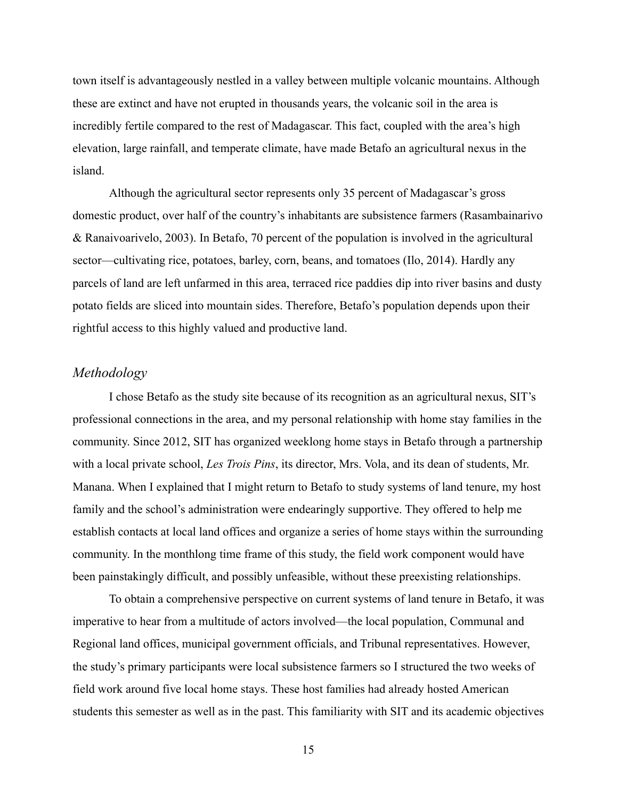town itself is advantageously nestled in a valley between multiple volcanic mountains. Although these are extinct and have not erupted in thousands years, the volcanic soil in the area is incredibly fertile compared to the rest of Madagascar. This fact, coupled with the area's high elevation, large rainfall, and temperate climate, have made Betafo an agricultural nexus in the island.

 Although the agricultural sector represents only 35 percent of Madagascar's gross domestic product, over half of the country's inhabitants are subsistence farmers (Rasambainarivo & Ranaivoarivelo, 2003). In Betafo, 70 percent of the population is involved in the agricultural sector—cultivating rice, potatoes, barley, corn, beans, and tomatoes (Ilo, 2014). Hardly any parcels of land are left unfarmed in this area, terraced rice paddies dip into river basins and dusty potato fields are sliced into mountain sides. Therefore, Betafo's population depends upon their rightful access to this highly valued and productive land.

#### *Methodology*

 I chose Betafo as the study site because of its recognition as an agricultural nexus, SIT's professional connections in the area, and my personal relationship with home stay families in the community. Since 2012, SIT has organized weeklong home stays in Betafo through a partnership with a local private school, *Les Trois Pins*, its director, Mrs. Vola, and its dean of students, Mr. Manana. When I explained that I might return to Betafo to study systems of land tenure, my host family and the school's administration were endearingly supportive. They offered to help me establish contacts at local land offices and organize a series of home stays within the surrounding community. In the monthlong time frame of this study, the field work component would have been painstakingly difficult, and possibly unfeasible, without these preexisting relationships.

 To obtain a comprehensive perspective on current systems of land tenure in Betafo, it was imperative to hear from a multitude of actors involved—the local population, Communal and Regional land offices, municipal government officials, and Tribunal representatives. However, the study's primary participants were local subsistence farmers so I structured the two weeks of field work around five local home stays. These host families had already hosted American students this semester as well as in the past. This familiarity with SIT and its academic objectives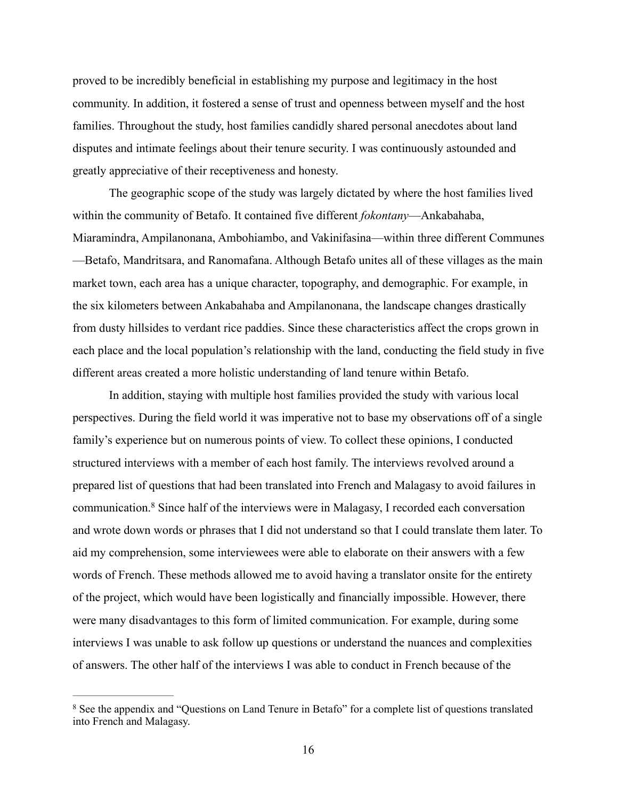proved to be incredibly beneficial in establishing my purpose and legitimacy in the host community. In addition, it fostered a sense of trust and openness between myself and the host families. Throughout the study, host families candidly shared personal anecdotes about land disputes and intimate feelings about their tenure security. I was continuously astounded and greatly appreciative of their receptiveness and honesty.

 The geographic scope of the study was largely dictated by where the host families lived within the community of Betafo. It contained five different *fokontany*—Ankabahaba, Miaramindra, Ampilanonana, Ambohiambo, and Vakinifasina—within three different Communes —Betafo, Mandritsara, and Ranomafana. Although Betafo unites all of these villages as the main market town, each area has a unique character, topography, and demographic. For example, in the six kilometers between Ankabahaba and Ampilanonana, the landscape changes drastically from dusty hillsides to verdant rice paddies. Since these characteristics affect the crops grown in each place and the local population's relationship with the land, conducting the field study in five different areas created a more holistic understanding of land tenure within Betafo.

 In addition, staying with multiple host families provided the study with various local perspectives. During the field world it was imperative not to base my observations off of a single family's experience but on numerous points of view. To collect these opinions, I conducted structured interviews with a member of each host family. The interviews revolved around a prepared list of questions that had been translated into French and Malagasy to avoid failures in communication.<sup>8</sup> Since half of the interviews were in Malagasy, I recorded each conversation and wrote down words or phrases that I did not understand so that I could translate them later. To aid my comprehension, some interviewees were able to elaborate on their answers with a few words of French. These methods allowed me to avoid having a translator onsite for the entirety of the project, which would have been logistically and financially impossible. However, there were many disadvantages to this form of limited communication. For example, during some interviews I was unable to ask follow up questions or understand the nuances and complexities of answers. The other half of the interviews I was able to conduct in French because of the

<sup>&</sup>lt;sup>8</sup> See the appendix and "Questions on Land Tenure in Betafo" for a complete list of questions translated into French and Malagasy.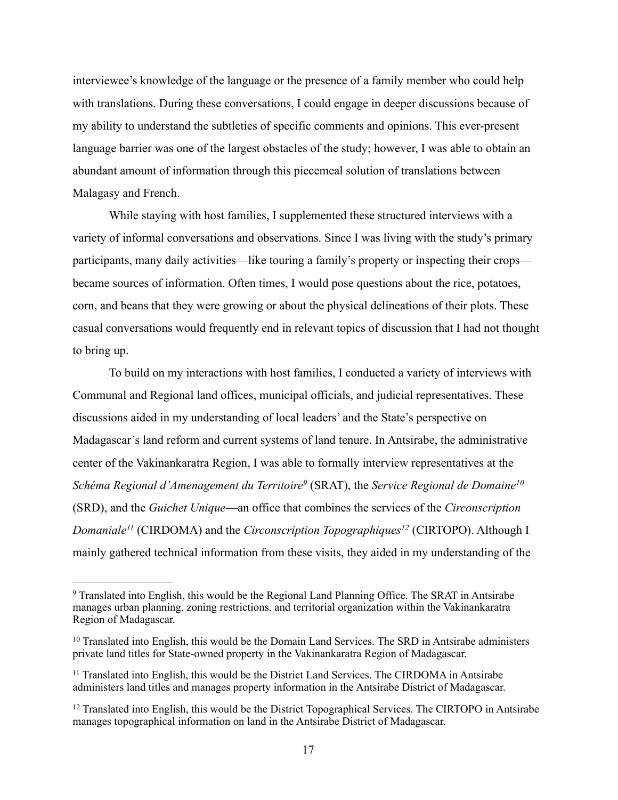interviewee's knowledge of the language or the presence of a family member who could help with translations. During these conversations, I could engage in deeper discussions because of my ability to understand the subtleties of specific comments and opinions. This ever-present language barrier was one of the largest obstacles of the study; however, I was able to obtain an abundant amount of information through this piecemeal solution of translations between Malagasy and French.

 While staying with host families, I supplemented these structured interviews with a variety of informal conversations and observations. Since I was living with the study's primary participants, many daily activities—like touring a family's property or inspecting their crops became sources of information. Often times, I would pose questions about the rice, potatoes, corn, and beans that they were growing or about the physical delineations of their plots. These casual conversations would frequently end in relevant topics of discussion that I had not thought to bring up.

 To build on my interactions with host families, I conducted a variety of interviews with Communal and Regional land offices, municipal officials, and judicial representatives. These discussions aided in my understanding of local leaders' and the State's perspective on Madagascar's land reform and current systems of land tenure. In Antsirabe, the administrative center of the Vakinankaratra Region, I was able to formally interview representatives at the *Schéma Regional d'Amenagement du Territoire*<sup>9</sup> (SRAT), the *Service Regional de Domaine*<sup>10</sup> (SRD), and the *Guichet Unique*—an office that combines the services of the *Circonscription Domaniale<sup>11</sup>* (CIRDOMA) and the *Circonscription Topographiques<sup>12</sup>* (CIRTOPO). Although I mainly gathered technical information from these visits, they aided in my understanding of the

Translated into English, this would be the Regional Land Planning Office. The SRAT in Antsirabe 9 manages urban planning, zoning restrictions, and territorial organization within the Vakinankaratra Region of Madagascar.

 $10$  Translated into English, this would be the Domain Land Services. The SRD in Antsirabe administers private land titles for State-owned property in the Vakinankaratra Region of Madagascar.

 $11$  Translated into English, this would be the District Land Services. The CIRDOMA in Antsirabe administers land titles and manages property information in the Antsirabe District of Madagascar.

 $12$  Translated into English, this would be the District Topographical Services. The CIRTOPO in Antsirabe manages topographical information on land in the Antsirabe District of Madagascar.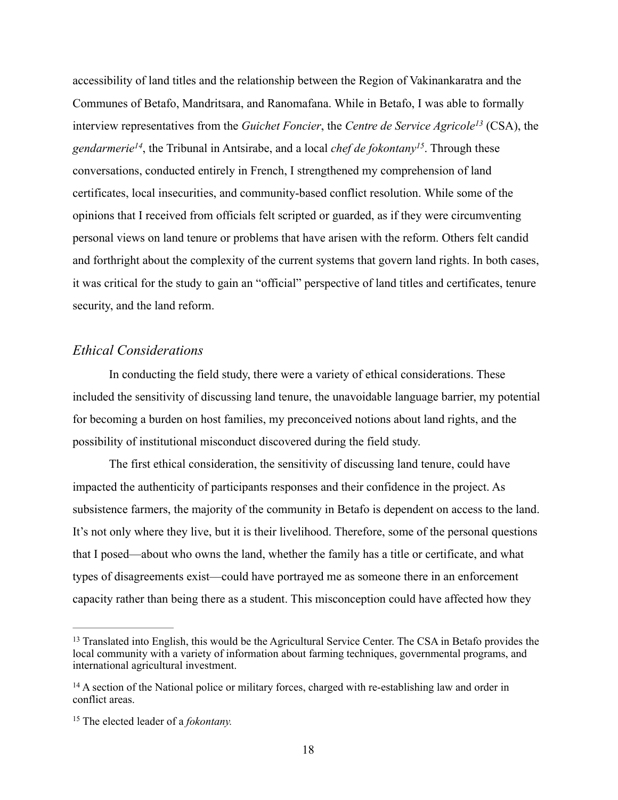accessibility of land titles and the relationship between the Region of Vakinankaratra and the Communes of Betafo, Mandritsara, and Ranomafana. While in Betafo, I was able to formally interview representatives from the *Guichet Foncier*, the *Centre de Service Agricole<sup>13</sup> (CSA)*, the *gendarmerie*<sup> $14$ </sup>, the Tribunal in Antsirabe, and a local *chef de fokontany* <sup>15</sup>. Through these conversations, conducted entirely in French, I strengthened my comprehension of land certificates, local insecurities, and community-based conflict resolution. While some of the opinions that I received from officials felt scripted or guarded, as if they were circumventing personal views on land tenure or problems that have arisen with the reform. Others felt candid and forthright about the complexity of the current systems that govern land rights. In both cases, it was critical for the study to gain an "official" perspective of land titles and certificates, tenure security, and the land reform.

### *Ethical Considerations*

In conducting the field study, there were a variety of ethical considerations. These included the sensitivity of discussing land tenure, the unavoidable language barrier, my potential for becoming a burden on host families, my preconceived notions about land rights, and the possibility of institutional misconduct discovered during the field study.

 The first ethical consideration, the sensitivity of discussing land tenure, could have impacted the authenticity of participants responses and their confidence in the project. As subsistence farmers, the majority of the community in Betafo is dependent on access to the land. It's not only where they live, but it is their livelihood. Therefore, some of the personal questions that I posed—about who owns the land, whether the family has a title or certificate, and what types of disagreements exist—could have portrayed me as someone there in an enforcement capacity rather than being there as a student. This misconception could have affected how they

<sup>&</sup>lt;sup>13</sup> Translated into English, this would be the Agricultural Service Center. The CSA in Betafo provides the local community with a variety of information about farming techniques, governmental programs, and international agricultural investment.

<sup>&</sup>lt;sup>14</sup> A section of the National police or military forces, charged with re-establishing law and order in conflict areas.

<sup>&</sup>lt;sup>15</sup> The elected leader of a *fokontany*.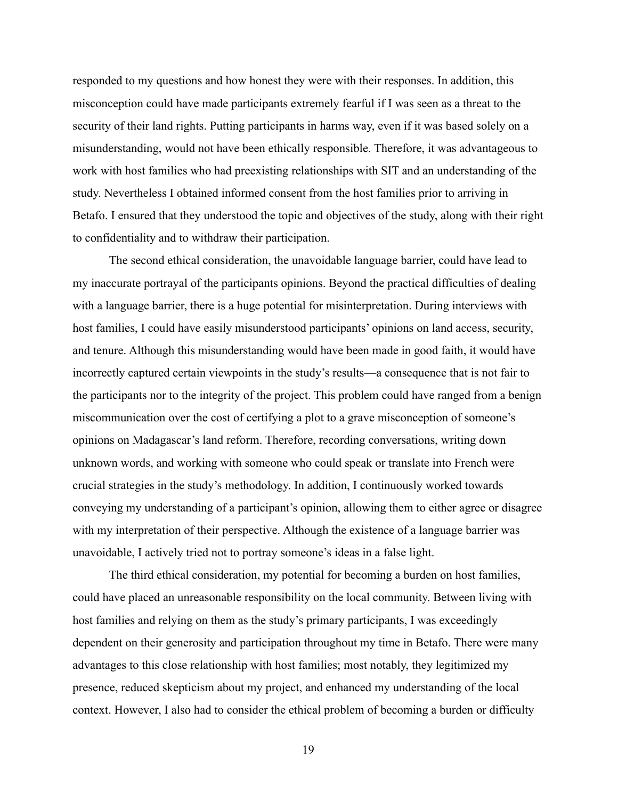responded to my questions and how honest they were with their responses. In addition, this misconception could have made participants extremely fearful if I was seen as a threat to the security of their land rights. Putting participants in harms way, even if it was based solely on a misunderstanding, would not have been ethically responsible. Therefore, it was advantageous to work with host families who had preexisting relationships with SIT and an understanding of the study. Nevertheless I obtained informed consent from the host families prior to arriving in Betafo. I ensured that they understood the topic and objectives of the study, along with their right to confidentiality and to withdraw their participation.

 The second ethical consideration, the unavoidable language barrier, could have lead to my inaccurate portrayal of the participants opinions. Beyond the practical difficulties of dealing with a language barrier, there is a huge potential for misinterpretation. During interviews with host families, I could have easily misunderstood participants' opinions on land access, security, and tenure. Although this misunderstanding would have been made in good faith, it would have incorrectly captured certain viewpoints in the study's results—a consequence that is not fair to the participants nor to the integrity of the project. This problem could have ranged from a benign miscommunication over the cost of certifying a plot to a grave misconception of someone's opinions on Madagascar's land reform. Therefore, recording conversations, writing down unknown words, and working with someone who could speak or translate into French were crucial strategies in the study's methodology. In addition, I continuously worked towards conveying my understanding of a participant's opinion, allowing them to either agree or disagree with my interpretation of their perspective. Although the existence of a language barrier was unavoidable, I actively tried not to portray someone's ideas in a false light.

 The third ethical consideration, my potential for becoming a burden on host families, could have placed an unreasonable responsibility on the local community. Between living with host families and relying on them as the study's primary participants, I was exceedingly dependent on their generosity and participation throughout my time in Betafo. There were many advantages to this close relationship with host families; most notably, they legitimized my presence, reduced skepticism about my project, and enhanced my understanding of the local context. However, I also had to consider the ethical problem of becoming a burden or difficulty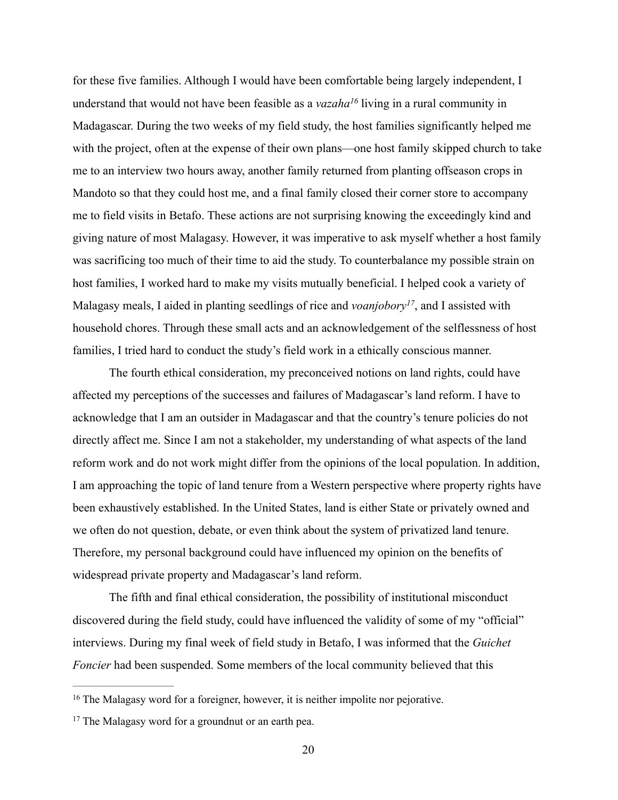for these five families. Although I would have been comfortable being largely independent, I understand that would not have been feasible as a *vazaha*<sup>16</sup> living in a rural community in Madagascar. During the two weeks of my field study, the host families significantly helped me with the project, often at the expense of their own plans—one host family skipped church to take me to an interview two hours away, another family returned from planting offseason crops in Mandoto so that they could host me, and a final family closed their corner store to accompany me to field visits in Betafo. These actions are not surprising knowing the exceedingly kind and giving nature of most Malagasy. However, it was imperative to ask myself whether a host family was sacrificing too much of their time to aid the study. To counterbalance my possible strain on host families, I worked hard to make my visits mutually beneficial. I helped cook a variety of Malagasy meals, I aided in planting seedlings of rice and *voanjobory*<sup>17</sup>, and I assisted with household chores. Through these small acts and an acknowledgement of the selflessness of host families, I tried hard to conduct the study's field work in a ethically conscious manner.

 The fourth ethical consideration, my preconceived notions on land rights, could have affected my perceptions of the successes and failures of Madagascar's land reform. I have to acknowledge that I am an outsider in Madagascar and that the country's tenure policies do not directly affect me. Since I am not a stakeholder, my understanding of what aspects of the land reform work and do not work might differ from the opinions of the local population. In addition, I am approaching the topic of land tenure from a Western perspective where property rights have been exhaustively established. In the United States, land is either State or privately owned and we often do not question, debate, or even think about the system of privatized land tenure. Therefore, my personal background could have influenced my opinion on the benefits of widespread private property and Madagascar's land reform.

The fifth and final ethical consideration, the possibility of institutional misconduct discovered during the field study, could have influenced the validity of some of my "official" interviews. During my final week of field study in Betafo, I was informed that the *Guichet Foncier* had been suspended. Some members of the local community believed that this

<sup>&</sup>lt;sup>16</sup> The Malagasy word for a foreigner, however, it is neither impolite nor pejorative.

<sup>&</sup>lt;sup>17</sup> The Malagasy word for a groundnut or an earth pea.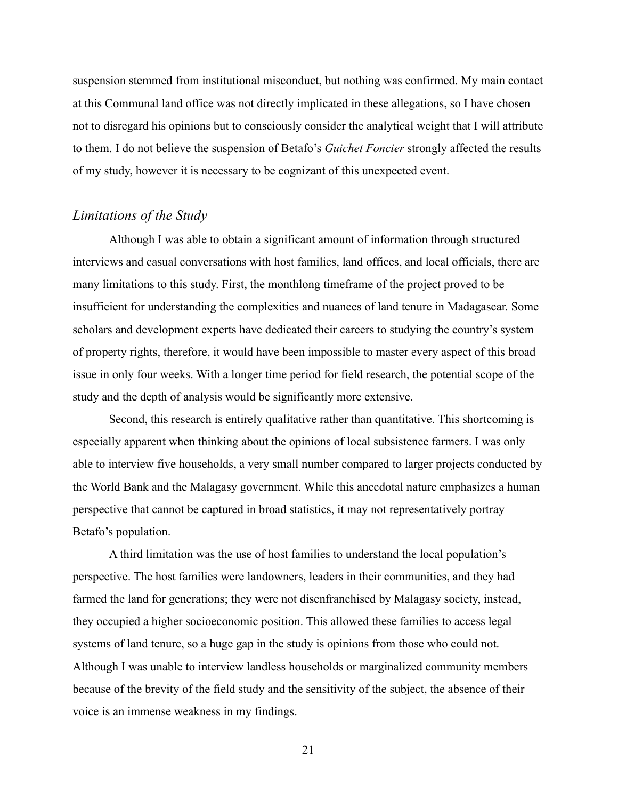suspension stemmed from institutional misconduct, but nothing was confirmed. My main contact at this Communal land office was not directly implicated in these allegations, so I have chosen not to disregard his opinions but to consciously consider the analytical weight that I will attribute to them. I do not believe the suspension of Betafo's *Guichet Foncier* strongly affected the results of my study, however it is necessary to be cognizant of this unexpected event.

#### *Limitations of the Study*

 Although I was able to obtain a significant amount of information through structured interviews and casual conversations with host families, land offices, and local officials, there are many limitations to this study. First, the monthlong timeframe of the project proved to be insufficient for understanding the complexities and nuances of land tenure in Madagascar. Some scholars and development experts have dedicated their careers to studying the country's system of property rights, therefore, it would have been impossible to master every aspect of this broad issue in only four weeks. With a longer time period for field research, the potential scope of the study and the depth of analysis would be significantly more extensive.

 Second, this research is entirely qualitative rather than quantitative. This shortcoming is especially apparent when thinking about the opinions of local subsistence farmers. I was only able to interview five households, a very small number compared to larger projects conducted by the World Bank and the Malagasy government. While this anecdotal nature emphasizes a human perspective that cannot be captured in broad statistics, it may not representatively portray Betafo's population.

 A third limitation was the use of host families to understand the local population's perspective. The host families were landowners, leaders in their communities, and they had farmed the land for generations; they were not disenfranchised by Malagasy society, instead, they occupied a higher socioeconomic position. This allowed these families to access legal systems of land tenure, so a huge gap in the study is opinions from those who could not. Although I was unable to interview landless households or marginalized community members because of the brevity of the field study and the sensitivity of the subject, the absence of their voice is an immense weakness in my findings.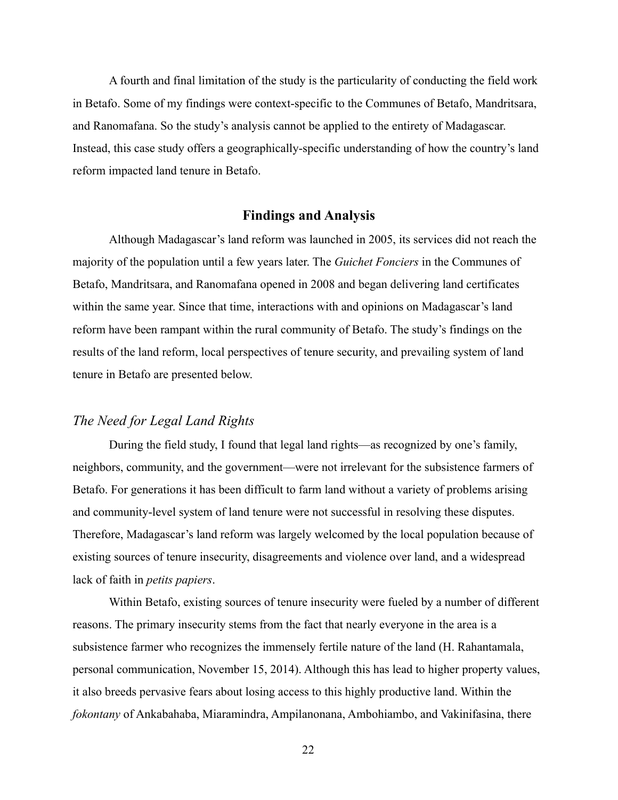A fourth and final limitation of the study is the particularity of conducting the field work in Betafo. Some of my findings were context-specific to the Communes of Betafo, Mandritsara, and Ranomafana. So the study's analysis cannot be applied to the entirety of Madagascar. Instead, this case study offers a geographically-specific understanding of how the country's land reform impacted land tenure in Betafo.

#### **Findings and Analysis**

 Although Madagascar's land reform was launched in 2005, its services did not reach the majority of the population until a few years later. The *Guichet Fonciers* in the Communes of Betafo, Mandritsara, and Ranomafana opened in 2008 and began delivering land certificates within the same year. Since that time, interactions with and opinions on Madagascar's land reform have been rampant within the rural community of Betafo. The study's findings on the results of the land reform, local perspectives of tenure security, and prevailing system of land tenure in Betafo are presented below.

#### *The Need for Legal Land Rights*

 During the field study, I found that legal land rights—as recognized by one's family, neighbors, community, and the government—were not irrelevant for the subsistence farmers of Betafo. For generations it has been difficult to farm land without a variety of problems arising and community-level system of land tenure were not successful in resolving these disputes. Therefore, Madagascar's land reform was largely welcomed by the local population because of existing sources of tenure insecurity, disagreements and violence over land, and a widespread lack of faith in *petits papiers*.

 Within Betafo, existing sources of tenure insecurity were fueled by a number of different reasons. The primary insecurity stems from the fact that nearly everyone in the area is a subsistence farmer who recognizes the immensely fertile nature of the land (H. Rahantamala, personal communication, November 15, 2014). Although this has lead to higher property values, it also breeds pervasive fears about losing access to this highly productive land. Within the *fokontany* of Ankabahaba, Miaramindra, Ampilanonana, Ambohiambo, and Vakinifasina, there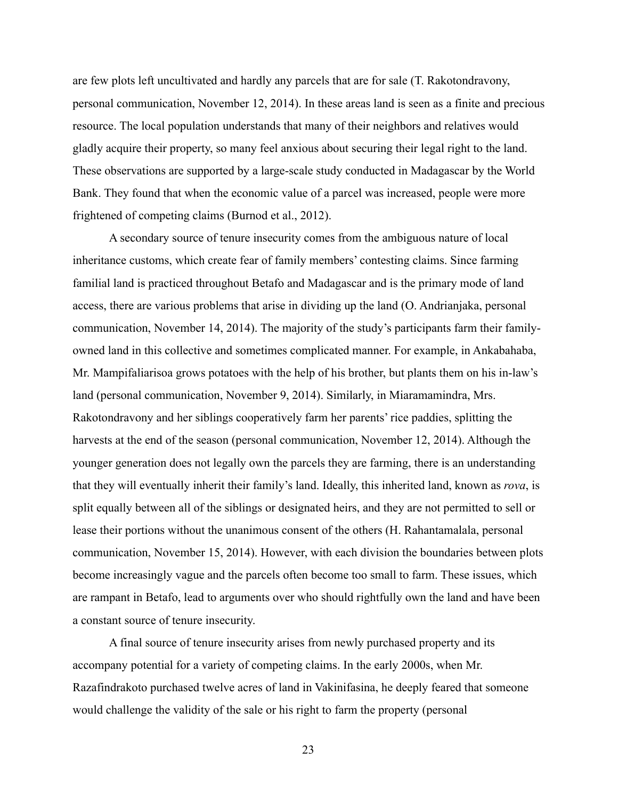are few plots left uncultivated and hardly any parcels that are for sale (T. Rakotondravony, personal communication, November 12, 2014). In these areas land is seen as a finite and precious resource. The local population understands that many of their neighbors and relatives would gladly acquire their property, so many feel anxious about securing their legal right to the land. These observations are supported by a large-scale study conducted in Madagascar by the World Bank. They found that when the economic value of a parcel was increased, people were more frightened of competing claims (Burnod et al., 2012).

 A secondary source of tenure insecurity comes from the ambiguous nature of local inheritance customs, which create fear of family members' contesting claims. Since farming familial land is practiced throughout Betafo and Madagascar and is the primary mode of land access, there are various problems that arise in dividing up the land (O. Andrianjaka, personal communication, November 14, 2014). The majority of the study's participants farm their familyowned land in this collective and sometimes complicated manner. For example, in Ankabahaba, Mr. Mampifaliarisoa grows potatoes with the help of his brother, but plants them on his in-law's land (personal communication, November 9, 2014). Similarly, in Miaramamindra, Mrs. Rakotondravony and her siblings cooperatively farm her parents' rice paddies, splitting the harvests at the end of the season (personal communication, November 12, 2014). Although the younger generation does not legally own the parcels they are farming, there is an understanding that they will eventually inherit their family's land. Ideally, this inherited land, known as *rova*, is split equally between all of the siblings or designated heirs, and they are not permitted to sell or lease their portions without the unanimous consent of the others (H. Rahantamalala, personal communication, November 15, 2014). However, with each division the boundaries between plots become increasingly vague and the parcels often become too small to farm. These issues, which are rampant in Betafo, lead to arguments over who should rightfully own the land and have been a constant source of tenure insecurity.

 A final source of tenure insecurity arises from newly purchased property and its accompany potential for a variety of competing claims. In the early 2000s, when Mr. Razafindrakoto purchased twelve acres of land in Vakinifasina, he deeply feared that someone would challenge the validity of the sale or his right to farm the property (personal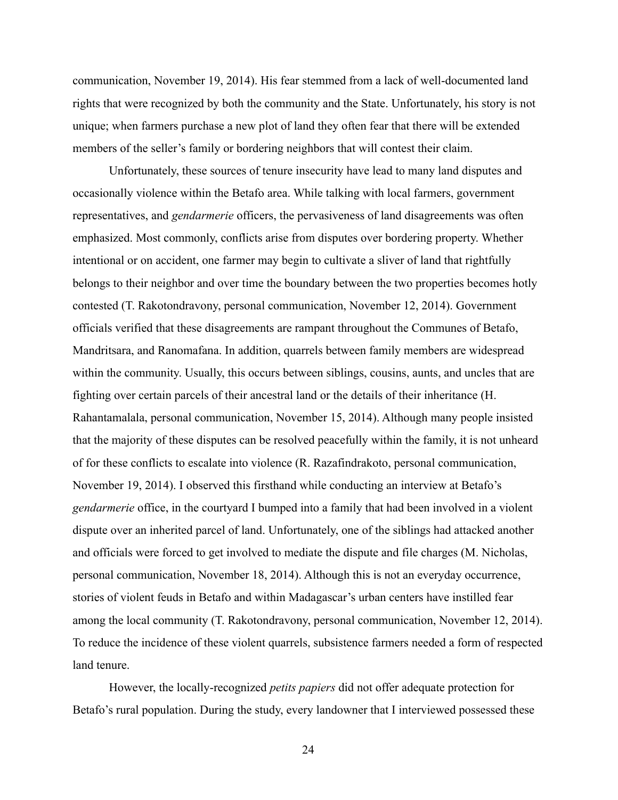communication, November 19, 2014). His fear stemmed from a lack of well-documented land rights that were recognized by both the community and the State. Unfortunately, his story is not unique; when farmers purchase a new plot of land they often fear that there will be extended members of the seller's family or bordering neighbors that will contest their claim.

 Unfortunately, these sources of tenure insecurity have lead to many land disputes and occasionally violence within the Betafo area. While talking with local farmers, government representatives, and *gendarmerie* officers, the pervasiveness of land disagreements was often emphasized. Most commonly, conflicts arise from disputes over bordering property. Whether intentional or on accident, one farmer may begin to cultivate a sliver of land that rightfully belongs to their neighbor and over time the boundary between the two properties becomes hotly contested (T. Rakotondravony, personal communication, November 12, 2014). Government officials verified that these disagreements are rampant throughout the Communes of Betafo, Mandritsara, and Ranomafana. In addition, quarrels between family members are widespread within the community. Usually, this occurs between siblings, cousins, aunts, and uncles that are fighting over certain parcels of their ancestral land or the details of their inheritance (H. Rahantamalala, personal communication, November 15, 2014). Although many people insisted that the majority of these disputes can be resolved peacefully within the family, it is not unheard of for these conflicts to escalate into violence (R. Razafindrakoto, personal communication, November 19, 2014). I observed this firsthand while conducting an interview at Betafo's *gendarmerie* office, in the courtyard I bumped into a family that had been involved in a violent dispute over an inherited parcel of land. Unfortunately, one of the siblings had attacked another and officials were forced to get involved to mediate the dispute and file charges (M. Nicholas, personal communication, November 18, 2014). Although this is not an everyday occurrence, stories of violent feuds in Betafo and within Madagascar's urban centers have instilled fear among the local community (T. Rakotondravony, personal communication, November 12, 2014). To reduce the incidence of these violent quarrels, subsistence farmers needed a form of respected land tenure.

 However, the locally-recognized *petits papiers* did not offer adequate protection for Betafo's rural population. During the study, every landowner that I interviewed possessed these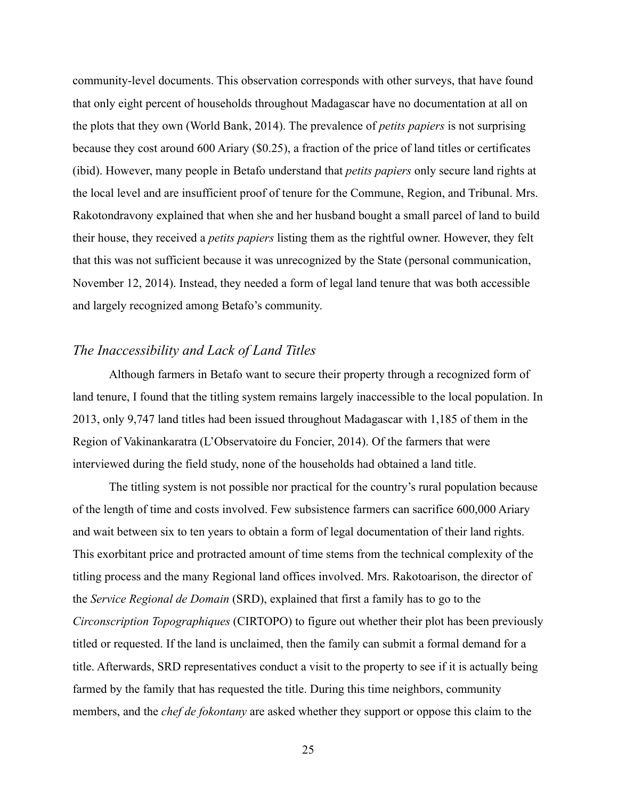community-level documents. This observation corresponds with other surveys, that have found that only eight percent of households throughout Madagascar have no documentation at all on the plots that they own (World Bank, 2014). The prevalence of *petits papiers* is not surprising because they cost around 600 Ariary (\$0.25), a fraction of the price of land titles or certificates (ibid). However, many people in Betafo understand that *petits papiers* only secure land rights at the local level and are insufficient proof of tenure for the Commune, Region, and Tribunal. Mrs. Rakotondravony explained that when she and her husband bought a small parcel of land to build their house, they received a *petits papiers* listing them as the rightful owner. However, they felt that this was not sufficient because it was unrecognized by the State (personal communication, November 12, 2014). Instead, they needed a form of legal land tenure that was both accessible and largely recognized among Betafo's community.

# *The Inaccessibility and Lack of Land Titles*

 Although farmers in Betafo want to secure their property through a recognized form of land tenure, I found that the titling system remains largely inaccessible to the local population. In 2013, only 9,747 land titles had been issued throughout Madagascar with 1,185 of them in the Region of Vakinankaratra (L'Observatoire du Foncier, 2014). Of the farmers that were interviewed during the field study, none of the households had obtained a land title.

 The titling system is not possible nor practical for the country's rural population because of the length of time and costs involved. Few subsistence farmers can sacrifice 600,000 Ariary and wait between six to ten years to obtain a form of legal documentation of their land rights. This exorbitant price and protracted amount of time stems from the technical complexity of the titling process and the many Regional land offices involved. Mrs. Rakotoarison, the director of the *Service Regional de Domain* (SRD), explained that first a family has to go to the *Circonscription Topographiques* (CIRTOPO) to figure out whether their plot has been previously titled or requested. If the land is unclaimed, then the family can submit a formal demand for a title. Afterwards, SRD representatives conduct a visit to the property to see if it is actually being farmed by the family that has requested the title. During this time neighbors, community members, and the *chef de fokontany* are asked whether they support or oppose this claim to the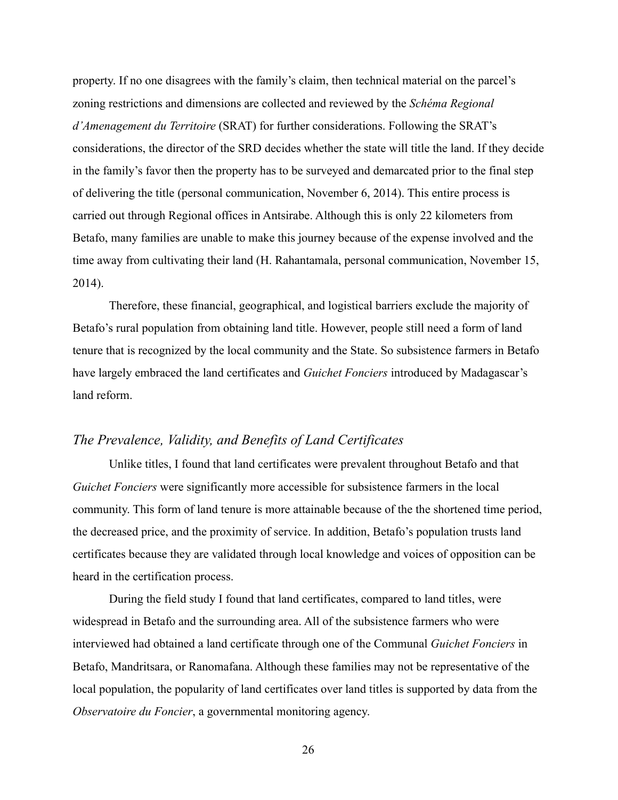property. If no one disagrees with the family's claim, then technical material on the parcel's zoning restrictions and dimensions are collected and reviewed by the *Schéma Regional d'Amenagement du Territoire* (SRAT) for further considerations. Following the SRAT's considerations, the director of the SRD decides whether the state will title the land. If they decide in the family's favor then the property has to be surveyed and demarcated prior to the final step of delivering the title (personal communication, November 6, 2014). This entire process is carried out through Regional offices in Antsirabe. Although this is only 22 kilometers from Betafo, many families are unable to make this journey because of the expense involved and the time away from cultivating their land (H. Rahantamala, personal communication, November 15, 2014).

 Therefore, these financial, geographical, and logistical barriers exclude the majority of Betafo's rural population from obtaining land title. However, people still need a form of land tenure that is recognized by the local community and the State. So subsistence farmers in Betafo have largely embraced the land certificates and *Guichet Fonciers* introduced by Madagascar's land reform.

## *The Prevalence, Validity, and Benefits of Land Certificates*

 Unlike titles, I found that land certificates were prevalent throughout Betafo and that *Guichet Fonciers* were significantly more accessible for subsistence farmers in the local community. This form of land tenure is more attainable because of the the shortened time period, the decreased price, and the proximity of service. In addition, Betafo's population trusts land certificates because they are validated through local knowledge and voices of opposition can be heard in the certification process.

 During the field study I found that land certificates, compared to land titles, were widespread in Betafo and the surrounding area. All of the subsistence farmers who were interviewed had obtained a land certificate through one of the Communal *Guichet Fonciers* in Betafo, Mandritsara, or Ranomafana. Although these families may not be representative of the local population, the popularity of land certificates over land titles is supported by data from the *Observatoire du Foncier*, a governmental monitoring agency.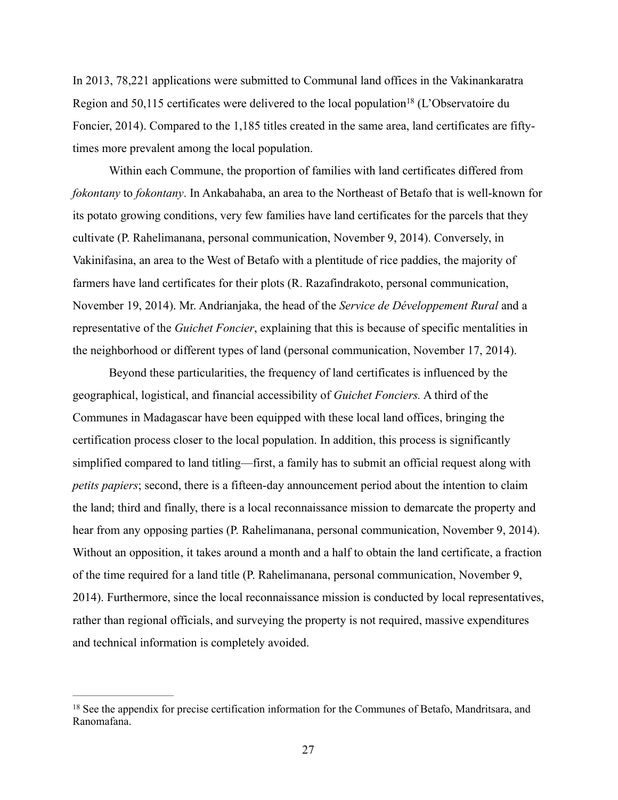In 2013, 78,221 applications were submitted to Communal land offices in the Vakinankaratra Region and 50,115 certificates were delivered to the local population<sup>18</sup> (L'Observatoire du Foncier, 2014). Compared to the 1,185 titles created in the same area, land certificates are fiftytimes more prevalent among the local population.

 Within each Commune, the proportion of families with land certificates differed from *fokontany* to *fokontany*. In Ankabahaba, an area to the Northeast of Betafo that is well-known for its potato growing conditions, very few families have land certificates for the parcels that they cultivate (P. Rahelimanana, personal communication, November 9, 2014). Conversely, in Vakinifasina, an area to the West of Betafo with a plentitude of rice paddies, the majority of farmers have land certificates for their plots (R. Razafindrakoto, personal communication, November 19, 2014). Mr. Andrianjaka, the head of the *Service de Développement Rural* and a representative of the *Guichet Foncier*, explaining that this is because of specific mentalities in the neighborhood or different types of land (personal communication, November 17, 2014).

Beyond these particularities, the frequency of land certificates is influenced by the geographical, logistical, and financial accessibility of *Guichet Fonciers.* A third of the Communes in Madagascar have been equipped with these local land offices, bringing the certification process closer to the local population. In addition, this process is significantly simplified compared to land titling—first, a family has to submit an official request along with *petits papiers*; second, there is a fifteen-day announcement period about the intention to claim the land; third and finally, there is a local reconnaissance mission to demarcate the property and hear from any opposing parties (P. Rahelimanana, personal communication, November 9, 2014). Without an opposition, it takes around a month and a half to obtain the land certificate, a fraction of the time required for a land title (P. Rahelimanana, personal communication, November 9, 2014). Furthermore, since the local reconnaissance mission is conducted by local representatives, rather than regional officials, and surveying the property is not required, massive expenditures and technical information is completely avoided.

<sup>&</sup>lt;sup>18</sup> See the appendix for precise certification information for the Communes of Betafo, Mandritsara, and Ranomafana.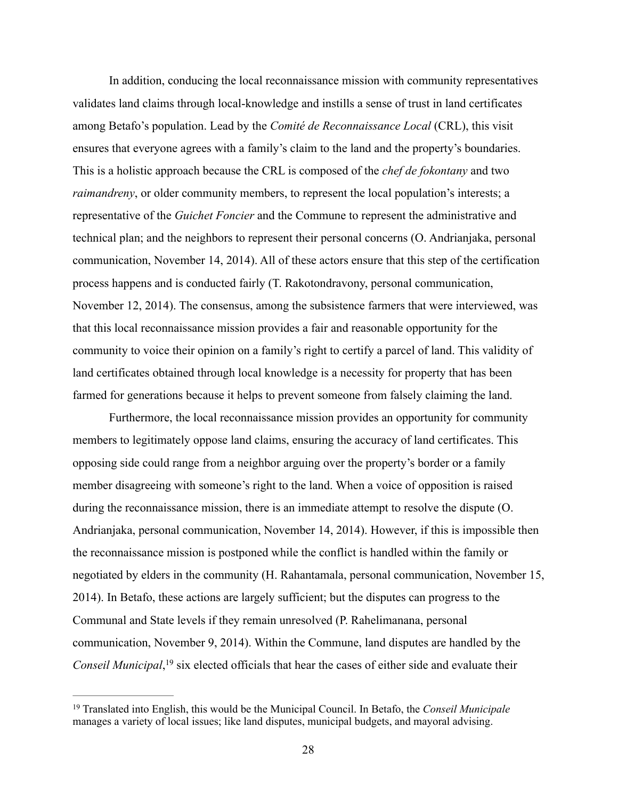In addition, conducing the local reconnaissance mission with community representatives validates land claims through local-knowledge and instills a sense of trust in land certificates among Betafo's population. Lead by the *Comité de Reconnaissance Local* (CRL), this visit ensures that everyone agrees with a family's claim to the land and the property's boundaries. This is a holistic approach because the CRL is composed of the *chef de fokontany* and two *raimandreny*, or older community members, to represent the local population's interests; a representative of the *Guichet Foncier* and the Commune to represent the administrative and technical plan; and the neighbors to represent their personal concerns (O. Andrianjaka, personal communication, November 14, 2014). All of these actors ensure that this step of the certification process happens and is conducted fairly (T. Rakotondravony, personal communication, November 12, 2014). The consensus, among the subsistence farmers that were interviewed, was that this local reconnaissance mission provides a fair and reasonable opportunity for the community to voice their opinion on a family's right to certify a parcel of land. This validity of land certificates obtained through local knowledge is a necessity for property that has been farmed for generations because it helps to prevent someone from falsely claiming the land.

 Furthermore, the local reconnaissance mission provides an opportunity for community members to legitimately oppose land claims, ensuring the accuracy of land certificates. This opposing side could range from a neighbor arguing over the property's border or a family member disagreeing with someone's right to the land. When a voice of opposition is raised during the reconnaissance mission, there is an immediate attempt to resolve the dispute (O. Andrianjaka, personal communication, November 14, 2014). However, if this is impossible then the reconnaissance mission is postponed while the conflict is handled within the family or negotiated by elders in the community (H. Rahantamala, personal communication, November 15, 2014). In Betafo, these actions are largely sufficient; but the disputes can progress to the Communal and State levels if they remain unresolved (P. Rahelimanana, personal communication, November 9, 2014). Within the Commune, land disputes are handled by the *Conseil Municipal*, <sup>19</sup> six elected officials that hear the cases of either side and evaluate their

<sup>&</sup>lt;sup>19</sup> Translated into English, this would be the Municipal Council. In Betafo, the *Conseil Municipale* manages a variety of local issues; like land disputes, municipal budgets, and mayoral advising.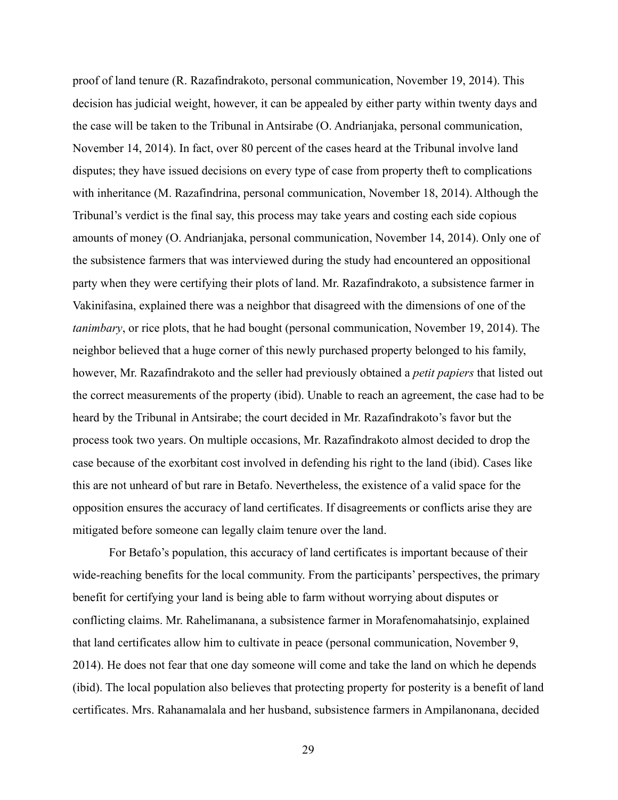proof of land tenure (R. Razafindrakoto, personal communication, November 19, 2014). This decision has judicial weight, however, it can be appealed by either party within twenty days and the case will be taken to the Tribunal in Antsirabe (O. Andrianjaka, personal communication, November 14, 2014). In fact, over 80 percent of the cases heard at the Tribunal involve land disputes; they have issued decisions on every type of case from property theft to complications with inheritance (M. Razafindrina, personal communication, November 18, 2014). Although the Tribunal's verdict is the final say, this process may take years and costing each side copious amounts of money (O. Andrianjaka, personal communication, November 14, 2014). Only one of the subsistence farmers that was interviewed during the study had encountered an oppositional party when they were certifying their plots of land. Mr. Razafindrakoto, a subsistence farmer in Vakinifasina, explained there was a neighbor that disagreed with the dimensions of one of the *tanimbary*, or rice plots, that he had bought (personal communication, November 19, 2014). The neighbor believed that a huge corner of this newly purchased property belonged to his family, however, Mr. Razafindrakoto and the seller had previously obtained a *petit papiers* that listed out the correct measurements of the property (ibid). Unable to reach an agreement, the case had to be heard by the Tribunal in Antsirabe; the court decided in Mr. Razafindrakoto's favor but the process took two years. On multiple occasions, Mr. Razafindrakoto almost decided to drop the case because of the exorbitant cost involved in defending his right to the land (ibid). Cases like this are not unheard of but rare in Betafo. Nevertheless, the existence of a valid space for the opposition ensures the accuracy of land certificates. If disagreements or conflicts arise they are mitigated before someone can legally claim tenure over the land.

 For Betafo's population, this accuracy of land certificates is important because of their wide-reaching benefits for the local community. From the participants' perspectives, the primary benefit for certifying your land is being able to farm without worrying about disputes or conflicting claims. Mr. Rahelimanana, a subsistence farmer in Morafenomahatsinjo, explained that land certificates allow him to cultivate in peace (personal communication, November 9, 2014). He does not fear that one day someone will come and take the land on which he depends (ibid). The local population also believes that protecting property for posterity is a benefit of land certificates. Mrs. Rahanamalala and her husband, subsistence farmers in Ampilanonana, decided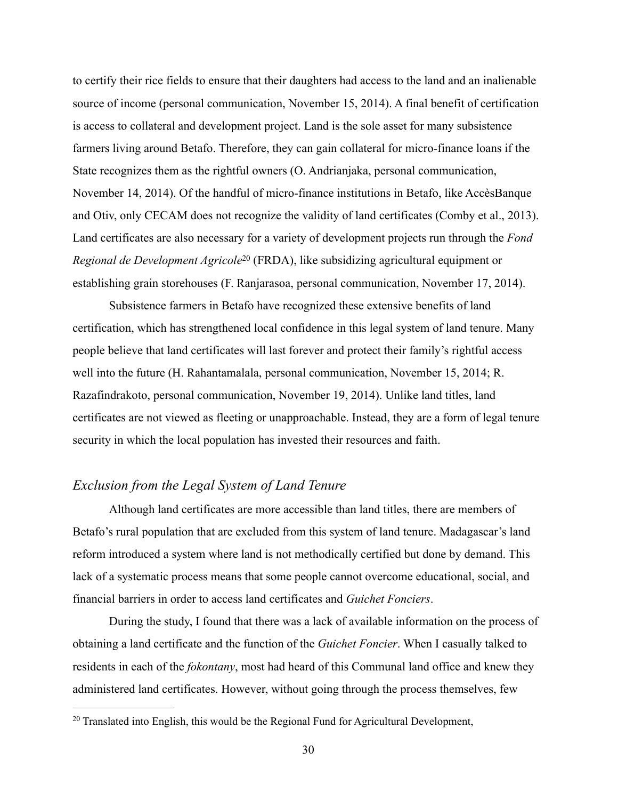to certify their rice fields to ensure that their daughters had access to the land and an inalienable source of income (personal communication, November 15, 2014). A final benefit of certification is access to collateral and development project. Land is the sole asset for many subsistence farmers living around Betafo. Therefore, they can gain collateral for micro-finance loans if the State recognizes them as the rightful owners (O. Andrianjaka, personal communication, November 14, 2014). Of the handful of micro-finance institutions in Betafo, like AccèsBanque and Otiv, only CECAM does not recognize the validity of land certificates (Comby et al., 2013). Land certificates are also necessary for a variety of development projects run through the *Fond Regional de Development Agricole*<sup>20</sup> (FRDA), like subsidizing agricultural equipment or establishing grain storehouses (F. Ranjarasoa, personal communication, November 17, 2014).

 Subsistence farmers in Betafo have recognized these extensive benefits of land certification, which has strengthened local confidence in this legal system of land tenure. Many people believe that land certificates will last forever and protect their family's rightful access well into the future (H. Rahantamalala, personal communication, November 15, 2014; R. Razafindrakoto, personal communication, November 19, 2014). Unlike land titles, land certificates are not viewed as fleeting or unapproachable. Instead, they are a form of legal tenure security in which the local population has invested their resources and faith.

# *Exclusion from the Legal System of Land Tenure*

 Although land certificates are more accessible than land titles, there are members of Betafo's rural population that are excluded from this system of land tenure. Madagascar's land reform introduced a system where land is not methodically certified but done by demand. This lack of a systematic process means that some people cannot overcome educational, social, and financial barriers in order to access land certificates and *Guichet Fonciers*.

 During the study, I found that there was a lack of available information on the process of obtaining a land certificate and the function of the *Guichet Foncier*. When I casually talked to residents in each of the *fokontany*, most had heard of this Communal land office and knew they administered land certificates. However, without going through the process themselves, few

<sup>&</sup>lt;sup>20</sup> Translated into English, this would be the Regional Fund for Agricultural Development,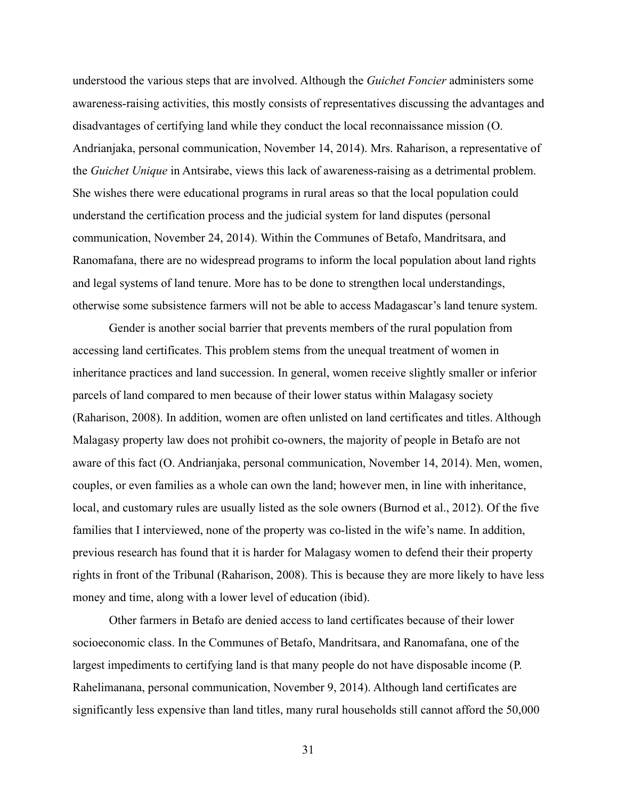understood the various steps that are involved. Although the *Guichet Foncier* administers some awareness-raising activities, this mostly consists of representatives discussing the advantages and disadvantages of certifying land while they conduct the local reconnaissance mission (O. Andrianjaka, personal communication, November 14, 2014). Mrs. Raharison, a representative of the *Guichet Unique* in Antsirabe, views this lack of awareness-raising as a detrimental problem. She wishes there were educational programs in rural areas so that the local population could understand the certification process and the judicial system for land disputes (personal communication, November 24, 2014). Within the Communes of Betafo, Mandritsara, and Ranomafana, there are no widespread programs to inform the local population about land rights and legal systems of land tenure. More has to be done to strengthen local understandings, otherwise some subsistence farmers will not be able to access Madagascar's land tenure system.

 Gender is another social barrier that prevents members of the rural population from accessing land certificates. This problem stems from the unequal treatment of women in inheritance practices and land succession. In general, women receive slightly smaller or inferior parcels of land compared to men because of their lower status within Malagasy society (Raharison, 2008). In addition, women are often unlisted on land certificates and titles. Although Malagasy property law does not prohibit co-owners, the majority of people in Betafo are not aware of this fact (O. Andrianjaka, personal communication, November 14, 2014). Men, women, couples, or even families as a whole can own the land; however men, in line with inheritance, local, and customary rules are usually listed as the sole owners (Burnod et al., 2012). Of the five families that I interviewed, none of the property was co-listed in the wife's name. In addition, previous research has found that it is harder for Malagasy women to defend their their property rights in front of the Tribunal (Raharison, 2008). This is because they are more likely to have less money and time, along with a lower level of education (ibid).

 Other farmers in Betafo are denied access to land certificates because of their lower socioeconomic class. In the Communes of Betafo, Mandritsara, and Ranomafana, one of the largest impediments to certifying land is that many people do not have disposable income (P. Rahelimanana, personal communication, November 9, 2014). Although land certificates are significantly less expensive than land titles, many rural households still cannot afford the 50,000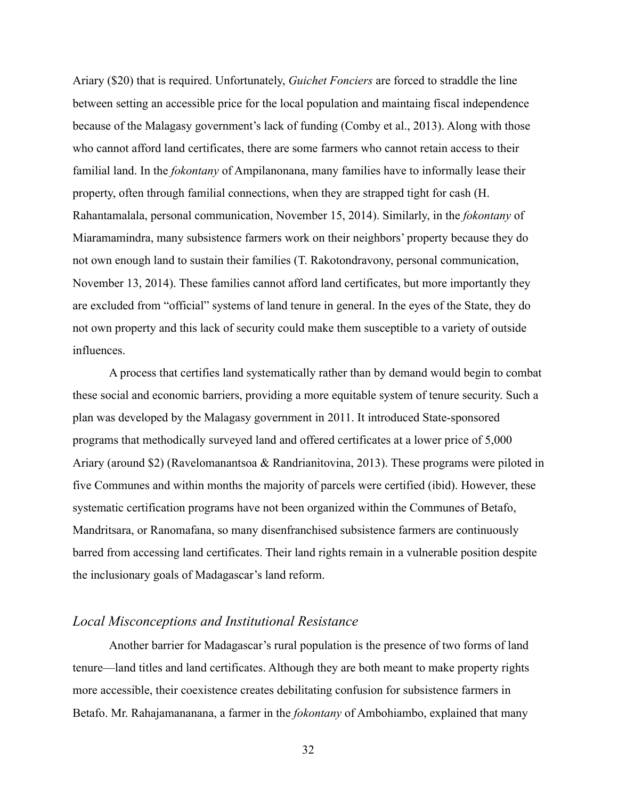Ariary (\$20) that is required. Unfortunately, *Guichet Fonciers* are forced to straddle the line between setting an accessible price for the local population and maintaing fiscal independence because of the Malagasy government's lack of funding (Comby et al., 2013). Along with those who cannot afford land certificates, there are some farmers who cannot retain access to their familial land. In the *fokontany* of Ampilanonana, many families have to informally lease their property, often through familial connections, when they are strapped tight for cash (H. Rahantamalala, personal communication, November 15, 2014). Similarly, in the *fokontany* of Miaramamindra, many subsistence farmers work on their neighbors' property because they do not own enough land to sustain their families (T. Rakotondravony, personal communication, November 13, 2014). These families cannot afford land certificates, but more importantly they are excluded from "official" systems of land tenure in general. In the eyes of the State, they do not own property and this lack of security could make them susceptible to a variety of outside influences.

 A process that certifies land systematically rather than by demand would begin to combat these social and economic barriers, providing a more equitable system of tenure security. Such a plan was developed by the Malagasy government in 2011. It introduced State-sponsored programs that methodically surveyed land and offered certificates at a lower price of 5,000 Ariary (around \$2) (Ravelomanantsoa & Randrianitovina, 2013). These programs were piloted in five Communes and within months the majority of parcels were certified (ibid). However, these systematic certification programs have not been organized within the Communes of Betafo, Mandritsara, or Ranomafana, so many disenfranchised subsistence farmers are continuously barred from accessing land certificates. Their land rights remain in a vulnerable position despite the inclusionary goals of Madagascar's land reform.

#### *Local Misconceptions and Institutional Resistance*

 Another barrier for Madagascar's rural population is the presence of two forms of land tenure—land titles and land certificates. Although they are both meant to make property rights more accessible, their coexistence creates debilitating confusion for subsistence farmers in Betafo. Mr. Rahajamananana, a farmer in the *fokontany* of Ambohiambo, explained that many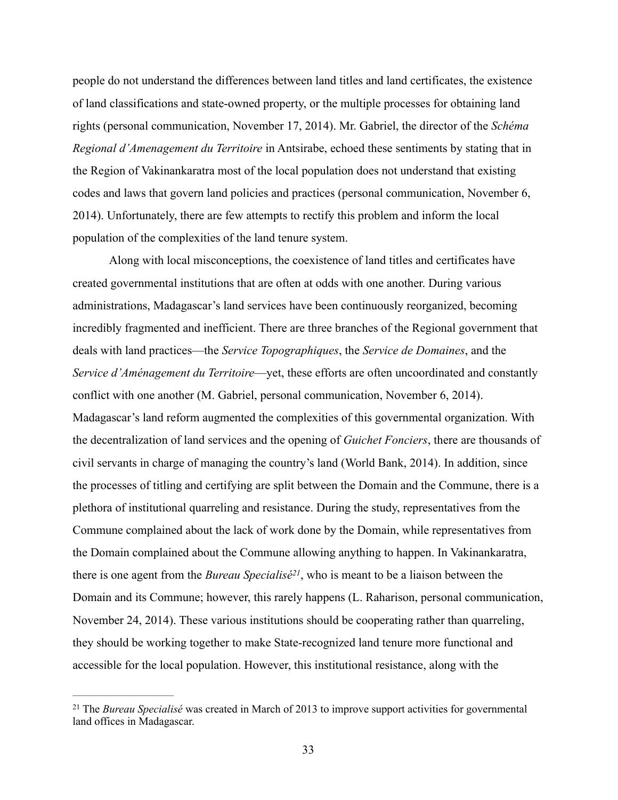people do not understand the differences between land titles and land certificates, the existence of land classifications and state-owned property, or the multiple processes for obtaining land rights (personal communication, November 17, 2014). Mr. Gabriel, the director of the *Schéma Regional d'Amenagement du Territoire* in Antsirabe, echoed these sentiments by stating that in the Region of Vakinankaratra most of the local population does not understand that existing codes and laws that govern land policies and practices (personal communication, November 6, 2014). Unfortunately, there are few attempts to rectify this problem and inform the local population of the complexities of the land tenure system.

 Along with local misconceptions, the coexistence of land titles and certificates have created governmental institutions that are often at odds with one another. During various administrations, Madagascar's land services have been continuously reorganized, becoming incredibly fragmented and inefficient. There are three branches of the Regional government that deals with land practices—the *Service Topographiques*, the *Service de Domaines*, and the *Service d'Aménagement du Territoire*—yet, these efforts are often uncoordinated and constantly conflict with one another (M. Gabriel, personal communication, November 6, 2014). Madagascar's land reform augmented the complexities of this governmental organization. With the decentralization of land services and the opening of *Guichet Fonciers*, there are thousands of civil servants in charge of managing the country's land (World Bank, 2014). In addition, since the processes of titling and certifying are split between the Domain and the Commune, there is a plethora of institutional quarreling and resistance. During the study, representatives from the Commune complained about the lack of work done by the Domain, while representatives from the Domain complained about the Commune allowing anything to happen. In Vakinankaratra, there is one agent from the *Bureau Specialisé<sup>21</sup>*, who is meant to be a liaison between the Domain and its Commune; however, this rarely happens (L. Raharison, personal communication, November 24, 2014). These various institutions should be cooperating rather than quarreling, they should be working together to make State-recognized land tenure more functional and accessible for the local population. However, this institutional resistance, along with the

<sup>&</sup>lt;sup>21</sup> The *Bureau Specialisé* was created in March of 2013 to improve support activities for governmental land offices in Madagascar.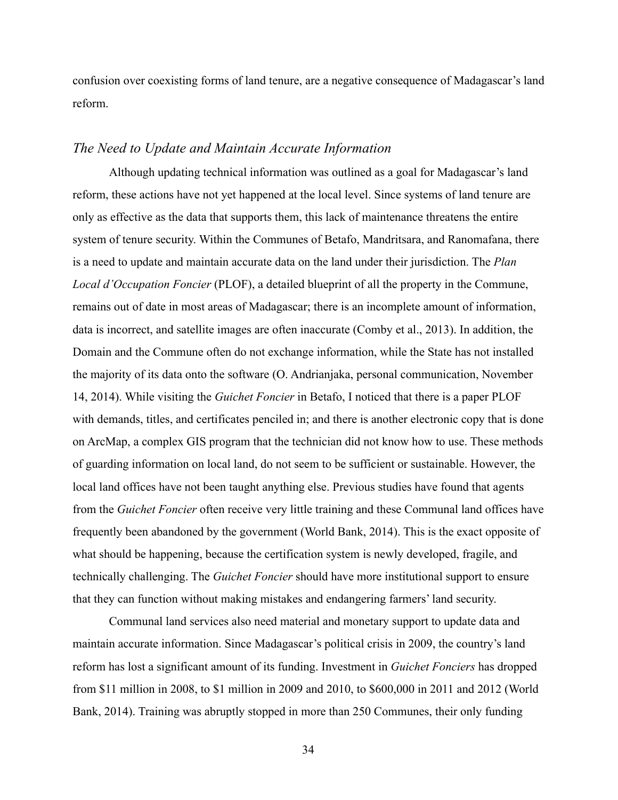confusion over coexisting forms of land tenure, are a negative consequence of Madagascar's land reform.

#### *The Need to Update and Maintain Accurate Information*

 Although updating technical information was outlined as a goal for Madagascar's land reform, these actions have not yet happened at the local level. Since systems of land tenure are only as effective as the data that supports them, this lack of maintenance threatens the entire system of tenure security. Within the Communes of Betafo, Mandritsara, and Ranomafana, there is a need to update and maintain accurate data on the land under their jurisdiction. The *Plan Local d'Occupation Foncier* (PLOF), a detailed blueprint of all the property in the Commune, remains out of date in most areas of Madagascar; there is an incomplete amount of information, data is incorrect, and satellite images are often inaccurate (Comby et al., 2013). In addition, the Domain and the Commune often do not exchange information, while the State has not installed the majority of its data onto the software (O. Andrianjaka, personal communication, November 14, 2014). While visiting the *Guichet Foncier* in Betafo, I noticed that there is a paper PLOF with demands, titles, and certificates penciled in; and there is another electronic copy that is done on ArcMap, a complex GIS program that the technician did not know how to use. These methods of guarding information on local land, do not seem to be sufficient or sustainable. However, the local land offices have not been taught anything else. Previous studies have found that agents from the *Guichet Foncier* often receive very little training and these Communal land offices have frequently been abandoned by the government (World Bank, 2014). This is the exact opposite of what should be happening, because the certification system is newly developed, fragile, and technically challenging. The *Guichet Foncier* should have more institutional support to ensure that they can function without making mistakes and endangering farmers' land security.

 Communal land services also need material and monetary support to update data and maintain accurate information. Since Madagascar's political crisis in 2009, the country's land reform has lost a significant amount of its funding. Investment in *Guichet Fonciers* has dropped from \$11 million in 2008, to \$1 million in 2009 and 2010, to \$600,000 in 2011 and 2012 (World Bank, 2014). Training was abruptly stopped in more than 250 Communes, their only funding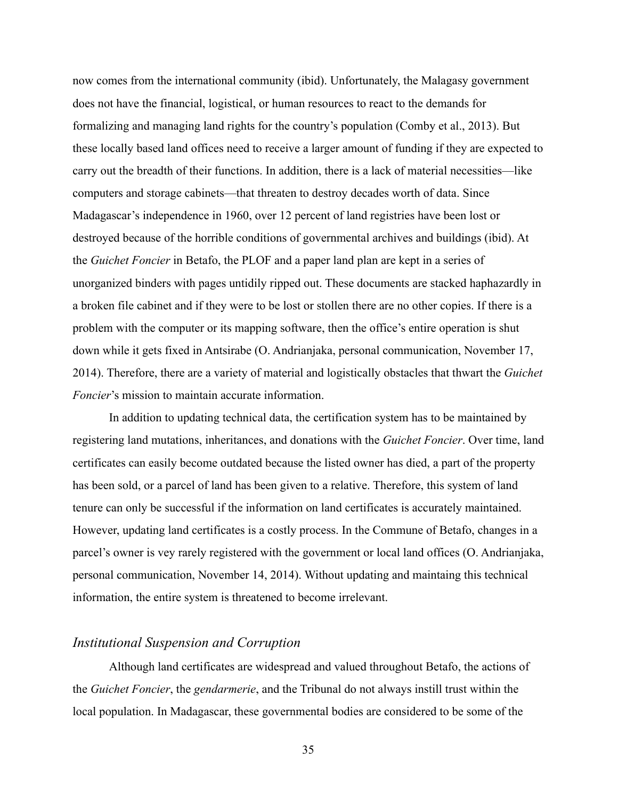now comes from the international community (ibid). Unfortunately, the Malagasy government does not have the financial, logistical, or human resources to react to the demands for formalizing and managing land rights for the country's population (Comby et al., 2013). But these locally based land offices need to receive a larger amount of funding if they are expected to carry out the breadth of their functions. In addition, there is a lack of material necessities—like computers and storage cabinets—that threaten to destroy decades worth of data. Since Madagascar's independence in 1960, over 12 percent of land registries have been lost or destroyed because of the horrible conditions of governmental archives and buildings (ibid). At the *Guichet Foncier* in Betafo, the PLOF and a paper land plan are kept in a series of unorganized binders with pages untidily ripped out. These documents are stacked haphazardly in a broken file cabinet and if they were to be lost or stollen there are no other copies. If there is a problem with the computer or its mapping software, then the office's entire operation is shut down while it gets fixed in Antsirabe (O. Andrianjaka, personal communication, November 17, 2014). Therefore, there are a variety of material and logistically obstacles that thwart the *Guichet Foncier*'s mission to maintain accurate information.

 In addition to updating technical data, the certification system has to be maintained by registering land mutations, inheritances, and donations with the *Guichet Foncier*. Over time, land certificates can easily become outdated because the listed owner has died, a part of the property has been sold, or a parcel of land has been given to a relative. Therefore, this system of land tenure can only be successful if the information on land certificates is accurately maintained. However, updating land certificates is a costly process. In the Commune of Betafo, changes in a parcel's owner is vey rarely registered with the government or local land offices (O. Andrianjaka, personal communication, November 14, 2014). Without updating and maintaing this technical information, the entire system is threatened to become irrelevant.

#### *Institutional Suspension and Corruption*

 Although land certificates are widespread and valued throughout Betafo, the actions of the *Guichet Foncier*, the *gendarmerie*, and the Tribunal do not always instill trust within the local population. In Madagascar, these governmental bodies are considered to be some of the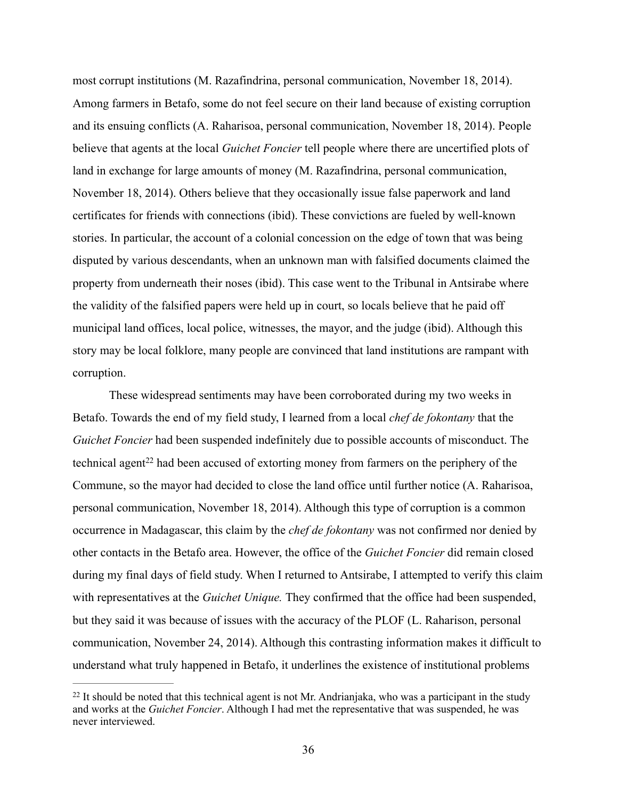most corrupt institutions (M. Razafindrina, personal communication, November 18, 2014). Among farmers in Betafo, some do not feel secure on their land because of existing corruption and its ensuing conflicts (A. Raharisoa, personal communication, November 18, 2014). People believe that agents at the local *Guichet Foncier* tell people where there are uncertified plots of land in exchange for large amounts of money (M. Razafindrina, personal communication, November 18, 2014). Others believe that they occasionally issue false paperwork and land certificates for friends with connections (ibid). These convictions are fueled by well-known stories. In particular, the account of a colonial concession on the edge of town that was being disputed by various descendants, when an unknown man with falsified documents claimed the property from underneath their noses (ibid). This case went to the Tribunal in Antsirabe where the validity of the falsified papers were held up in court, so locals believe that he paid off municipal land offices, local police, witnesses, the mayor, and the judge (ibid). Although this story may be local folklore, many people are convinced that land institutions are rampant with corruption.

 These widespread sentiments may have been corroborated during my two weeks in Betafo. Towards the end of my field study, I learned from a local *chef de fokontany* that the *Guichet Foncier* had been suspended indefinitely due to possible accounts of misconduct. The technical agent<sup>22</sup> had been accused of extorting money from farmers on the periphery of the Commune, so the mayor had decided to close the land office until further notice (A. Raharisoa, personal communication, November 18, 2014). Although this type of corruption is a common occurrence in Madagascar, this claim by the *chef de fokontany* was not confirmed nor denied by other contacts in the Betafo area. However, the office of the *Guichet Foncier* did remain closed during my final days of field study. When I returned to Antsirabe, I attempted to verify this claim with representatives at the *Guichet Unique.* They confirmed that the office had been suspended, but they said it was because of issues with the accuracy of the PLOF (L. Raharison, personal communication, November 24, 2014). Although this contrasting information makes it difficult to understand what truly happened in Betafo, it underlines the existence of institutional problems

 $22$  It should be noted that this technical agent is not Mr. Andrianjaka, who was a participant in the study and works at the *Guichet Foncier*. Although I had met the representative that was suspended, he was never interviewed.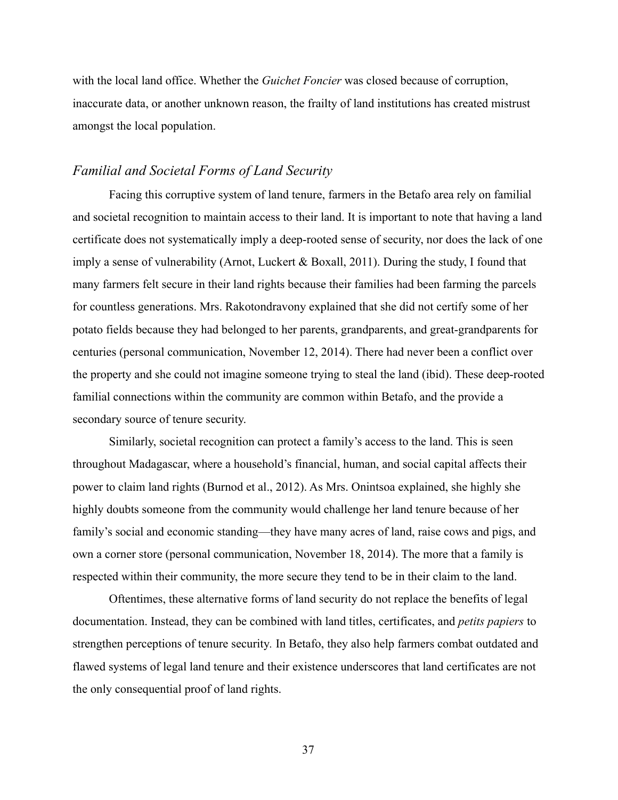with the local land office. Whether the *Guichet Foncier* was closed because of corruption, inaccurate data, or another unknown reason, the frailty of land institutions has created mistrust amongst the local population.

#### *Familial and Societal Forms of Land Security*

 Facing this corruptive system of land tenure, farmers in the Betafo area rely on familial and societal recognition to maintain access to their land. It is important to note that having a land certificate does not systematically imply a deep-rooted sense of security, nor does the lack of one imply a sense of vulnerability (Arnot, Luckert & Boxall, 2011). During the study, I found that many farmers felt secure in their land rights because their families had been farming the parcels for countless generations. Mrs. Rakotondravony explained that she did not certify some of her potato fields because they had belonged to her parents, grandparents, and great-grandparents for centuries (personal communication, November 12, 2014). There had never been a conflict over the property and she could not imagine someone trying to steal the land (ibid). These deep-rooted familial connections within the community are common within Betafo, and the provide a secondary source of tenure security.

 Similarly, societal recognition can protect a family's access to the land. This is seen throughout Madagascar, where a household's financial, human, and social capital affects their power to claim land rights (Burnod et al., 2012). As Mrs. Onintsoa explained, she highly she highly doubts someone from the community would challenge her land tenure because of her family's social and economic standing—they have many acres of land, raise cows and pigs, and own a corner store (personal communication, November 18, 2014). The more that a family is respected within their community, the more secure they tend to be in their claim to the land.

 Oftentimes, these alternative forms of land security do not replace the benefits of legal documentation. Instead, they can be combined with land titles, certificates, and *petits papiers* to strengthen perceptions of tenure security*.* In Betafo, they also help farmers combat outdated and flawed systems of legal land tenure and their existence underscores that land certificates are not the only consequential proof of land rights.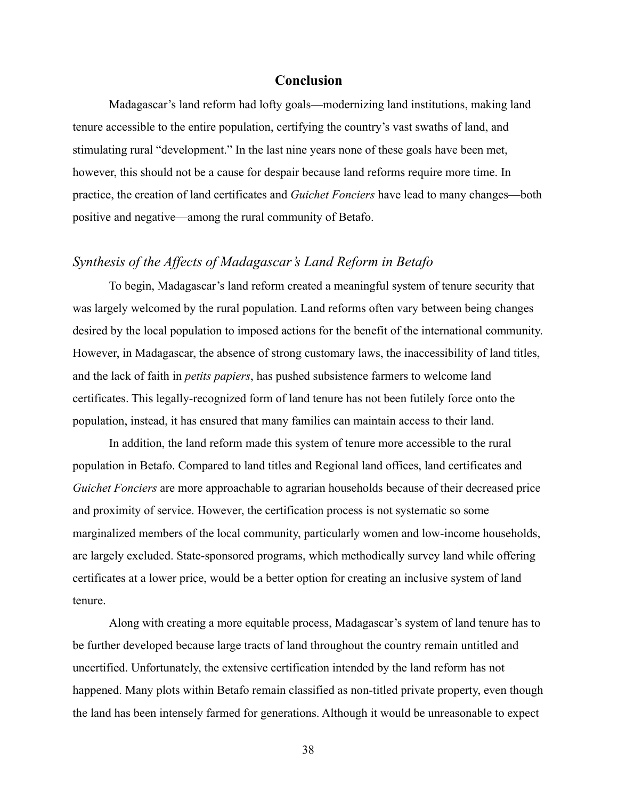#### **Conclusion**

Madagascar's land reform had lofty goals—modernizing land institutions, making land tenure accessible to the entire population, certifying the country's vast swaths of land, and stimulating rural "development." In the last nine years none of these goals have been met, however, this should not be a cause for despair because land reforms require more time. In practice, the creation of land certificates and *Guichet Fonciers* have lead to many changes—both positive and negative—among the rural community of Betafo.

#### *Synthesis of the Affects of Madagascar's Land Reform in Betafo*

 To begin, Madagascar's land reform created a meaningful system of tenure security that was largely welcomed by the rural population. Land reforms often vary between being changes desired by the local population to imposed actions for the benefit of the international community. However, in Madagascar, the absence of strong customary laws, the inaccessibility of land titles, and the lack of faith in *petits papiers*, has pushed subsistence farmers to welcome land certificates. This legally-recognized form of land tenure has not been futilely force onto the population, instead, it has ensured that many families can maintain access to their land.

 In addition, the land reform made this system of tenure more accessible to the rural population in Betafo. Compared to land titles and Regional land offices, land certificates and *Guichet Fonciers* are more approachable to agrarian households because of their decreased price and proximity of service. However, the certification process is not systematic so some marginalized members of the local community, particularly women and low-income households, are largely excluded. State-sponsored programs, which methodically survey land while offering certificates at a lower price, would be a better option for creating an inclusive system of land tenure.

 Along with creating a more equitable process, Madagascar's system of land tenure has to be further developed because large tracts of land throughout the country remain untitled and uncertified. Unfortunately, the extensive certification intended by the land reform has not happened. Many plots within Betafo remain classified as non-titled private property, even though the land has been intensely farmed for generations. Although it would be unreasonable to expect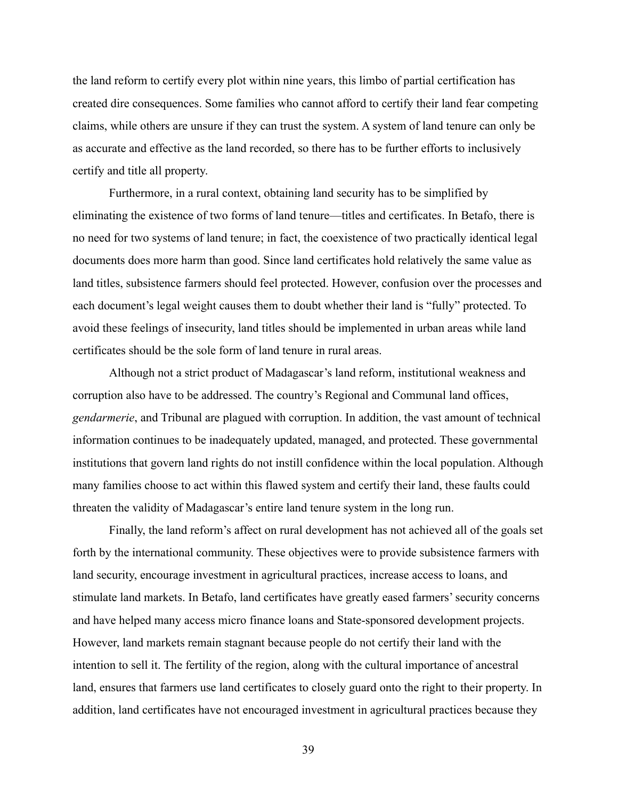the land reform to certify every plot within nine years, this limbo of partial certification has created dire consequences. Some families who cannot afford to certify their land fear competing claims, while others are unsure if they can trust the system. A system of land tenure can only be as accurate and effective as the land recorded, so there has to be further efforts to inclusively certify and title all property.

 Furthermore, in a rural context, obtaining land security has to be simplified by eliminating the existence of two forms of land tenure—titles and certificates. In Betafo, there is no need for two systems of land tenure; in fact, the coexistence of two practically identical legal documents does more harm than good. Since land certificates hold relatively the same value as land titles, subsistence farmers should feel protected. However, confusion over the processes and each document's legal weight causes them to doubt whether their land is "fully" protected. To avoid these feelings of insecurity, land titles should be implemented in urban areas while land certificates should be the sole form of land tenure in rural areas.

 Although not a strict product of Madagascar's land reform, institutional weakness and corruption also have to be addressed. The country's Regional and Communal land offices, *gendarmerie*, and Tribunal are plagued with corruption. In addition, the vast amount of technical information continues to be inadequately updated, managed, and protected. These governmental institutions that govern land rights do not instill confidence within the local population. Although many families choose to act within this flawed system and certify their land, these faults could threaten the validity of Madagascar's entire land tenure system in the long run.

 Finally, the land reform's affect on rural development has not achieved all of the goals set forth by the international community. These objectives were to provide subsistence farmers with land security, encourage investment in agricultural practices, increase access to loans, and stimulate land markets. In Betafo, land certificates have greatly eased farmers' security concerns and have helped many access micro finance loans and State-sponsored development projects. However, land markets remain stagnant because people do not certify their land with the intention to sell it. The fertility of the region, along with the cultural importance of ancestral land, ensures that farmers use land certificates to closely guard onto the right to their property. In addition, land certificates have not encouraged investment in agricultural practices because they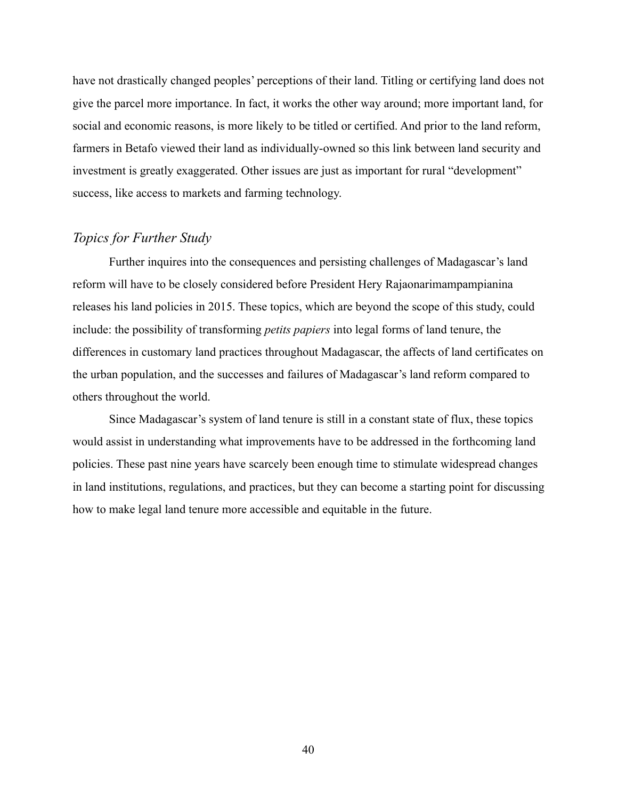have not drastically changed peoples' perceptions of their land. Titling or certifying land does not give the parcel more importance. In fact, it works the other way around; more important land, for social and economic reasons, is more likely to be titled or certified. And prior to the land reform, farmers in Betafo viewed their land as individually-owned so this link between land security and investment is greatly exaggerated. Other issues are just as important for rural "development" success, like access to markets and farming technology.

#### *Topics for Further Study*

 Further inquires into the consequences and persisting challenges of Madagascar's land reform will have to be closely considered before President Hery Rajaonarimampampianina releases his land policies in 2015. These topics, which are beyond the scope of this study, could include: the possibility of transforming *petits papiers* into legal forms of land tenure, the differences in customary land practices throughout Madagascar, the affects of land certificates on the urban population, and the successes and failures of Madagascar's land reform compared to others throughout the world.

 Since Madagascar's system of land tenure is still in a constant state of flux, these topics would assist in understanding what improvements have to be addressed in the forthcoming land policies. These past nine years have scarcely been enough time to stimulate widespread changes in land institutions, regulations, and practices, but they can become a starting point for discussing how to make legal land tenure more accessible and equitable in the future.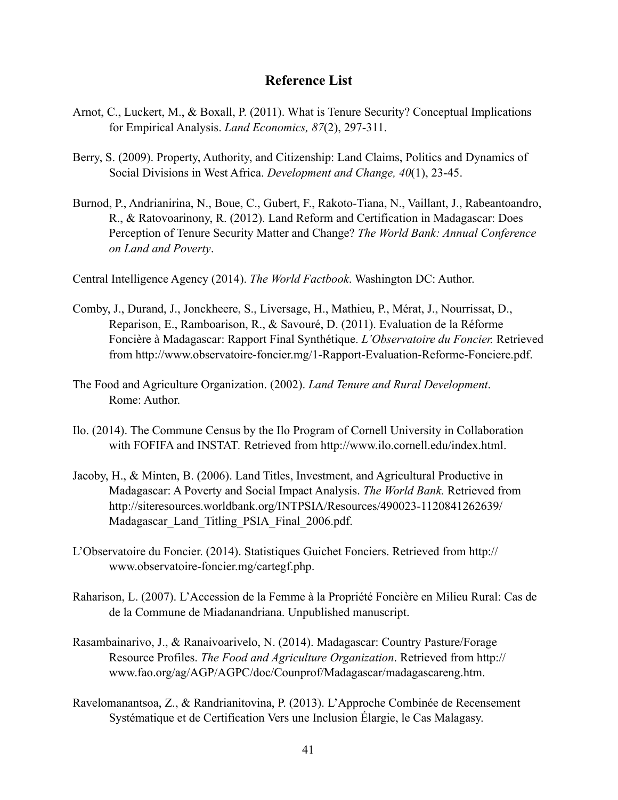## **Reference List**

- Arnot, C., Luckert, M., & Boxall, P. (2011). What is Tenure Security? Conceptual Implications for Empirical Analysis. *Land Economics, 87*(2), 297-311.
- Berry, S. (2009). Property, Authority, and Citizenship: Land Claims, Politics and Dynamics of Social Divisions in West Africa. *Development and Change, 40*(1), 23-45.
- Burnod, P., Andrianirina, N., Boue, C., Gubert, F., Rakoto-Tiana, N., Vaillant, J., Rabeantoandro, R., & Ratovoarinony, R. (2012). Land Reform and Certification in Madagascar: Does Perception of Tenure Security Matter and Change? *The World Bank: Annual Conference on Land and Poverty*.

Central Intelligence Agency (2014). *The World Factbook*. Washington DC: Author.

- Comby, J., Durand, J., Jonckheere, S., Liversage, H., Mathieu, P., Mérat, J., Nourrissat, D., Reparison, E., Ramboarison, R., & Savouré, D. (2011). Evaluation de la Réforme Foncière à Madagascar: Rapport Final Synthétique. *L'Observatoire du Foncier.* Retrieved from [http://www.observatoire-foncier.mg/1-Rapport-Evaluation-Reforme-Fonciere.pdf](http://www.observatoire-foncier.mg/downloads/1-Rapport-Evaluation-Reforme-Fonciere.pdf).
- The Food and Agriculture Organization. (2002). *Land Tenure and Rural Development*. Rome: Author.
- Ilo. (2014). The Commune Census by the Ilo Program of Cornell University in Collaboration with FOFIFA and INSTAT*.* Retrieved from [http://www.ilo.cornell.edu/index.html.](http://www.ilo.cornell.edu/index.html)
- Jacoby, H., & Minten, B. (2006). Land Titles, Investment, and Agricultural Productive in Madagascar: A Poverty and Social Impact Analysis. *The World Bank.* Retrieved from <http://siteresources.worldbank.org/INTPSIA/Resources/490023-1120841262639/> Madagascar Land Titling PSIA Final 2006.pdf.
- L'Observatoire du Foncier. (2014). Statistiques Guichet Fonciers. Retrieved from http:// [www.observatoire-foncier.mg/cartegf.php.](http://www.observatoire-foncier.mg/cartegf.php)
- Raharison, L. (2007). L'Accession de la Femme à la Propriété Foncière en Milieu Rural: Cas de de la Commune de Miadanandriana. Unpublished manuscript.
- Rasambainarivo, J., & Ranaivoarivelo, N. (2014). Madagascar: Country Pasture/Forage Resource Profiles. *The Food and Agriculture Organization*. Retrieved from http:// www.fao.org/ag/AGP/AGPC/doc/Counprof/Madagascar/madagascareng.htm.
- Ravelomanantsoa, Z., & Randrianitovina, P. (2013). L'Approche Combinée de Recensement Systématique et de Certification Vers une Inclusion Élargie, le Cas Malagasy.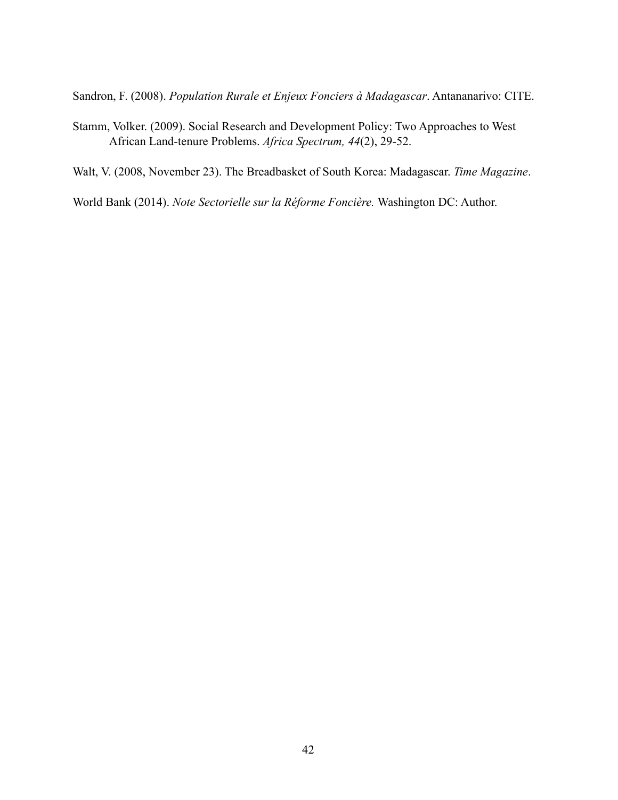Sandron, F. (2008). *Population Rurale et Enjeux Fonciers à Madagascar*. Antananarivo: CITE.

- Stamm, Volker. (2009). Social Research and Development Policy: Two Approaches to West African Land-tenure Problems. *Africa Spectrum, 44*(2), 29-52.
- Walt, V. (2008, November 23). The Breadbasket of South Korea: Madagascar. *Time Magazine*.

World Bank (2014). *Note Sectorielle sur la Réforme Foncière.* Washington DC: Author.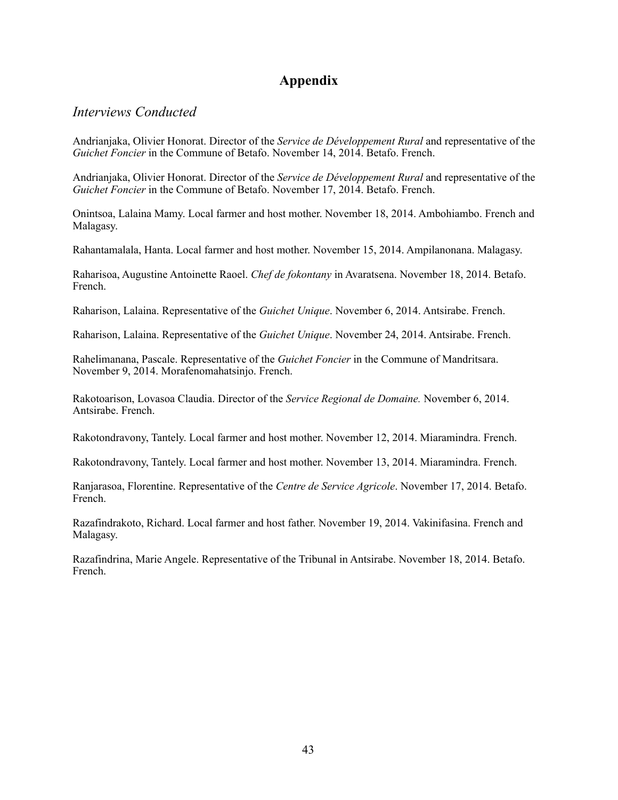# **Appendix**

## *Interviews Conducted*

Andrianjaka, Olivier Honorat. Director of the *Service de Développement Rural* and representative of the *Guichet Foncier* in the Commune of Betafo. November 14, 2014. Betafo. French.

Andrianjaka, Olivier Honorat. Director of the *Service de Développement Rural* and representative of the *Guichet Foncier* in the Commune of Betafo. November 17, 2014. Betafo. French.

Onintsoa, Lalaina Mamy. Local farmer and host mother. November 18, 2014. Ambohiambo. French and Malagasy.

Rahantamalala, Hanta. Local farmer and host mother. November 15, 2014. Ampilanonana. Malagasy.

Raharisoa, Augustine Antoinette Raoel. *Chef de fokontany* in Avaratsena. November 18, 2014. Betafo. French.

Raharison, Lalaina. Representative of the *Guichet Unique*. November 6, 2014. Antsirabe. French.

Raharison, Lalaina. Representative of the *Guichet Unique*. November 24, 2014. Antsirabe. French.

Rahelimanana, Pascale. Representative of the *Guichet Foncier* in the Commune of Mandritsara. November 9, 2014. Morafenomahatsinjo. French.

Rakotoarison, Lovasoa Claudia. Director of the *Service Regional de Domaine.* November 6, 2014. Antsirabe. French.

Rakotondravony, Tantely. Local farmer and host mother. November 12, 2014. Miaramindra. French.

Rakotondravony, Tantely. Local farmer and host mother. November 13, 2014. Miaramindra. French.

Ranjarasoa, Florentine. Representative of the *Centre de Service Agricole*. November 17, 2014. Betafo. French.

Razafindrakoto, Richard. Local farmer and host father. November 19, 2014. Vakinifasina. French and Malagasy.

Razafindrina, Marie Angele. Representative of the Tribunal in Antsirabe. November 18, 2014. Betafo. French.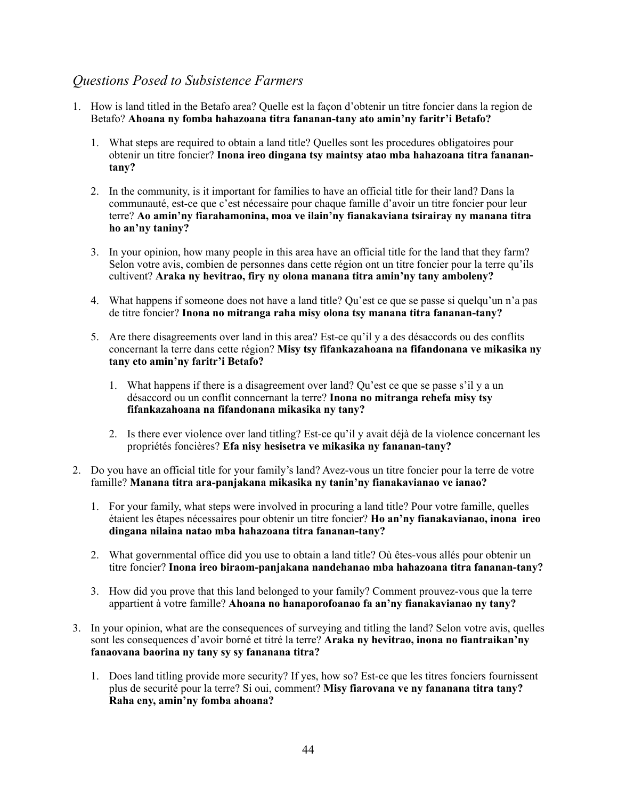# *Questions Posed to Subsistence Farmers*

- 1. How is land titled in the Betafo area? Quelle est la façon d'obtenir un titre foncier dans la region de Betafo? **Ahoana ny fomba hahazoana titra fananan-tany ato amin'ny faritr'i Betafo?**
	- 1. What steps are required to obtain a land title? Quelles sont les procedures obligatoires pour obtenir un titre foncier? **Inona ireo dingana tsy maintsy atao mba hahazoana titra fananantany?**
	- 2. In the community, is it important for families to have an official title for their land? Dans la communauté, est-ce que c'est nécessaire pour chaque famille d'avoir un titre foncier pour leur terre? **Ao amin'ny fiarahamonina, moa ve ilain'ny fianakaviana tsirairay ny manana titra ho an'ny taniny?**
	- 3. In your opinion, how many people in this area have an official title for the land that they farm? Selon votre avis, combien de personnes dans cette région ont un titre foncier pour la terre qu'ils cultivent? **Araka ny hevitrao, firy ny olona manana titra amin'ny tany amboleny?**
	- 4. What happens if someone does not have a land title? Qu'est ce que se passe si quelqu'un n'a pas de titre foncier? **Inona no mitranga raha misy olona tsy manana titra fananan-tany?**
	- 5. Are there disagreements over land in this area? Est-ce qu'il y a des désaccords ou des conflits concernant la terre dans cette région? **Misy tsy fifankazahoana na fifandonana ve mikasika ny tany eto amin'ny faritr'i Betafo?**
		- 1. What happens if there is a disagreement over land? Qu'est ce que se passe s'il y a un désaccord ou un conflit conncernant la terre? **Inona no mitranga rehefa misy tsy fifankazahoana na fifandonana mikasika ny tany?**
		- 2. Is there ever violence over land titling? Est-ce qu'il y avait déjà de la violence concernant les propriétés foncières? **Efa nisy hesisetra ve mikasika ny fananan-tany?**
- 2. Do you have an official title for your family's land? Avez-vous un titre foncier pour la terre de votre famille? **Manana titra ara-panjakana mikasika ny tanin'ny fianakavianao ve ianao?**
	- 1. For your family, what steps were involved in procuring a land title? Pour votre famille, quelles étaient les êtapes nécessaires pour obtenir un titre foncier? **Ho an'ny fianakavianao, inona ireo dingana nilaina natao mba hahazoana titra fananan-tany?**
	- 2. What governmental office did you use to obtain a land title? Où êtes-vous allés pour obtenir un titre foncier? **Inona ireo biraom-panjakana nandehanao mba hahazoana titra fananan-tany?**
	- 3. How did you prove that this land belonged to your family? Comment prouvez-vous que la terre appartient à votre famille? **Ahoana no hanaporofoanao fa an'ny fianakavianao ny tany?**
- 3. In your opinion, what are the consequences of surveying and titling the land? Selon votre avis, quelles sont les consequences d'avoir borné et titré la terre? **Araka ny hevitrao, inona no fiantraikan'ny fanaovana baorina ny tany sy sy fananana titra?**
	- 1. Does land titling provide more security? If yes, how so? Est-ce que les titres fonciers fournissent plus de securité pour la terre? Si oui, comment? **Misy fiarovana ve ny fananana titra tany? Raha eny, amin'ny fomba ahoana?**